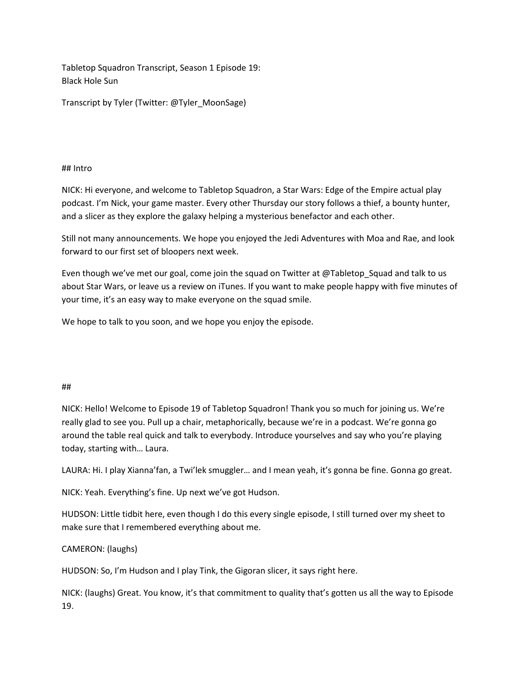Tabletop Squadron Transcript, Season 1 Episode 19: Black Hole Sun

Transcript by Tyler (Twitter: @Tyler\_MoonSage)

## ## Intro

NICK: Hi everyone, and welcome to Tabletop Squadron, a Star Wars: Edge of the Empire actual play podcast. I'm Nick, your game master. Every other Thursday our story follows a thief, a bounty hunter, and a slicer as they explore the galaxy helping a mysterious benefactor and each other.

Still not many announcements. We hope you enjoyed the Jedi Adventures with Moa and Rae, and look forward to our first set of bloopers next week.

Even though we've met our goal, come join the squad on Twitter at @Tabletop\_Squad and talk to us about Star Wars, or leave us a review on iTunes. If you want to make people happy with five minutes of your time, it's an easy way to make everyone on the squad smile.

We hope to talk to you soon, and we hope you enjoy the episode.

# ##

NICK: Hello! Welcome to Episode 19 of Tabletop Squadron! Thank you so much for joining us. We're really glad to see you. Pull up a chair, metaphorically, because we're in a podcast. We're gonna go around the table real quick and talk to everybody. Introduce yourselves and say who you're playing today, starting with… Laura.

LAURA: Hi. I play Xianna'fan, a Twi'lek smuggler… and I mean yeah, it's gonna be fine. Gonna go great.

NICK: Yeah. Everything's fine. Up next we've got Hudson.

HUDSON: Little tidbit here, even though I do this every single episode, I still turned over my sheet to make sure that I remembered everything about me.

# CAMERON: (laughs)

HUDSON: So, I'm Hudson and I play Tink, the Gigoran slicer, it says right here.

NICK: (laughs) Great. You know, it's that commitment to quality that's gotten us all the way to Episode 19.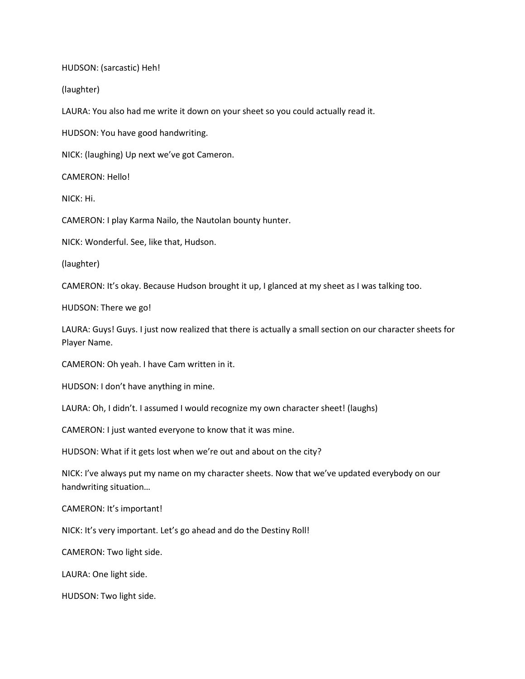HUDSON: (sarcastic) Heh!

(laughter)

LAURA: You also had me write it down on your sheet so you could actually read it.

HUDSON: You have good handwriting.

NICK: (laughing) Up next we've got Cameron.

CAMERON: Hello!

NICK: Hi.

CAMERON: I play Karma Nailo, the Nautolan bounty hunter.

NICK: Wonderful. See, like that, Hudson.

(laughter)

CAMERON: It's okay. Because Hudson brought it up, I glanced at my sheet as I was talking too.

HUDSON: There we go!

LAURA: Guys! Guys. I just now realized that there is actually a small section on our character sheets for Player Name.

CAMERON: Oh yeah. I have Cam written in it.

HUDSON: I don't have anything in mine.

LAURA: Oh, I didn't. I assumed I would recognize my own character sheet! (laughs)

CAMERON: I just wanted everyone to know that it was mine.

HUDSON: What if it gets lost when we're out and about on the city?

NICK: I've always put my name on my character sheets. Now that we've updated everybody on our handwriting situation…

CAMERON: It's important!

NICK: It's very important. Let's go ahead and do the Destiny Roll!

CAMERON: Two light side.

LAURA: One light side.

HUDSON: Two light side.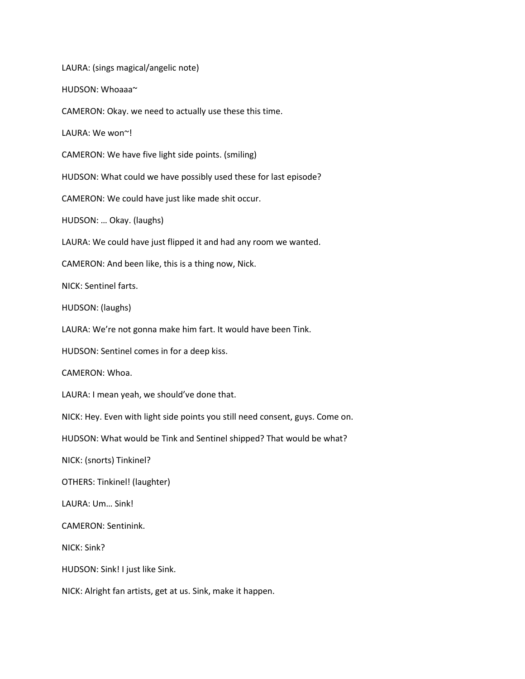LAURA: (sings magical/angelic note)

HUDSON: Whoaaa~

CAMERON: Okay. we need to actually use these this time.

LAURA: We won~!

CAMERON: We have five light side points. (smiling)

HUDSON: What could we have possibly used these for last episode?

CAMERON: We could have just like made shit occur.

HUDSON: … Okay. (laughs)

LAURA: We could have just flipped it and had any room we wanted.

CAMERON: And been like, this is a thing now, Nick.

NICK: Sentinel farts.

HUDSON: (laughs)

LAURA: We're not gonna make him fart. It would have been Tink.

HUDSON: Sentinel comes in for a deep kiss.

CAMERON: Whoa.

LAURA: I mean yeah, we should've done that.

NICK: Hey. Even with light side points you still need consent, guys. Come on.

HUDSON: What would be Tink and Sentinel shipped? That would be what?

NICK: (snorts) Tinkinel?

OTHERS: Tinkinel! (laughter)

LAURA: Um… Sink!

CAMERON: Sentinink.

NICK: Sink?

HUDSON: Sink! I just like Sink.

NICK: Alright fan artists, get at us. Sink, make it happen.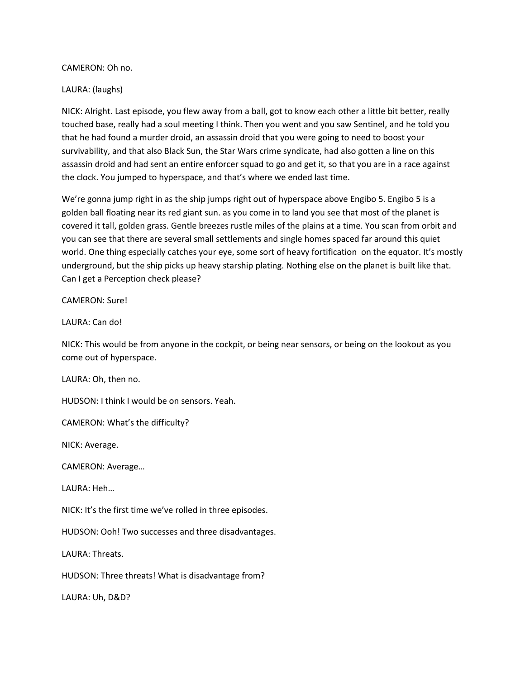CAMERON: Oh no.

### LAURA: (laughs)

NICK: Alright. Last episode, you flew away from a ball, got to know each other a little bit better, really touched base, really had a soul meeting I think. Then you went and you saw Sentinel, and he told you that he had found a murder droid, an assassin droid that you were going to need to boost your survivability, and that also Black Sun, the Star Wars crime syndicate, had also gotten a line on this assassin droid and had sent an entire enforcer squad to go and get it, so that you are in a race against the clock. You jumped to hyperspace, and that's where we ended last time.

We're gonna jump right in as the ship jumps right out of hyperspace above Engibo 5. Engibo 5 is a golden ball floating near its red giant sun. as you come in to land you see that most of the planet is covered it tall, golden grass. Gentle breezes rustle miles of the plains at a time. You scan from orbit and you can see that there are several small settlements and single homes spaced far around this quiet world. One thing especially catches your eye, some sort of heavy fortification on the equator. It's mostly underground, but the ship picks up heavy starship plating. Nothing else on the planet is built like that. Can I get a Perception check please?

CAMERON: Sure!

LAURA: Can do!

NICK: This would be from anyone in the cockpit, or being near sensors, or being on the lookout as you come out of hyperspace.

LAURA: Oh, then no.

HUDSON: I think I would be on sensors. Yeah.

CAMERON: What's the difficulty?

NICK: Average.

CAMERON: Average…

LAURA: Heh…

NICK: It's the first time we've rolled in three episodes.

HUDSON: Ooh! Two successes and three disadvantages.

LAURA: Threats.

HUDSON: Three threats! What is disadvantage from?

LAURA: Uh, D&D?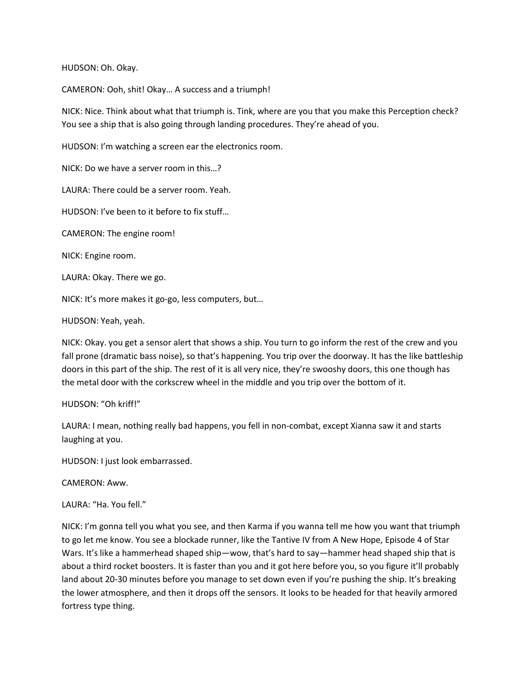HUDSON: Oh. Okay.

CAMERON: Ooh, shit! Okay… A success and a triumph!

NICK: Nice. Think about what that triumph is. Tink, where are you that you make this Perception check? You see a ship that is also going through landing procedures. They're ahead of you.

HUDSON: I'm watching a screen ear the electronics room.

NICK: Do we have a server room in this…?

LAURA: There could be a server room. Yeah.

HUDSON: I've been to it before to fix stuff…

CAMERON: The engine room!

NICK: Engine room.

LAURA: Okay. There we go.

NICK: It's more makes it go-go, less computers, but…

HUDSON: Yeah, yeah.

NICK: Okay. you get a sensor alert that shows a ship. You turn to go inform the rest of the crew and you fall prone (dramatic bass noise), so that's happening. You trip over the doorway. It has the like battleship doors in this part of the ship. The rest of it is all very nice, they're swooshy doors, this one though has the metal door with the corkscrew wheel in the middle and you trip over the bottom of it.

### HUDSON: "Oh kriff!"

LAURA: I mean, nothing really bad happens, you fell in non-combat, except Xianna saw it and starts laughing at you.

HUDSON: I just look embarrassed.

CAMERON: Aww.

#### LAURA: "Ha. You fell."

NICK: I'm gonna tell you what you see, and then Karma if you wanna tell me how you want that triumph to go let me know. You see a blockade runner, like the Tantive IV from A New Hope, Episode 4 of Star Wars. It's like a hammerhead shaped ship—wow, that's hard to say—hammer head shaped ship that is about a third rocket boosters. It is faster than you and it got here before you, so you figure it'll probably land about 20-30 minutes before you manage to set down even if you're pushing the ship. It's breaking the lower atmosphere, and then it drops off the sensors. It looks to be headed for that heavily armored fortress type thing.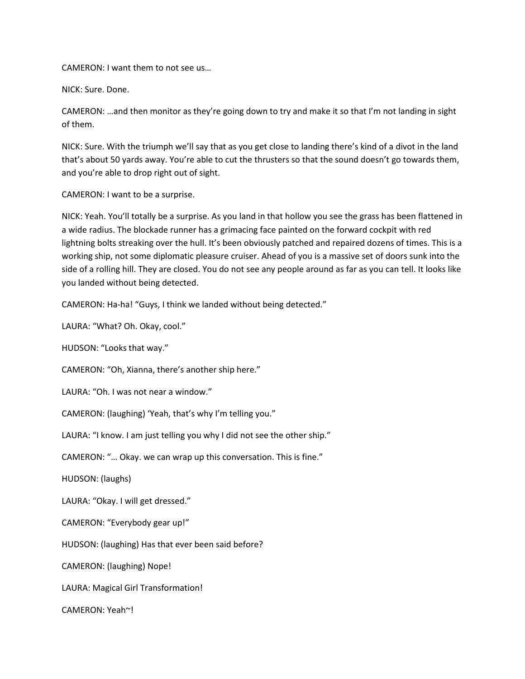CAMERON: I want them to not see us…

NICK: Sure. Done.

CAMERON: …and then monitor as they're going down to try and make it so that I'm not landing in sight of them.

NICK: Sure. With the triumph we'll say that as you get close to landing there's kind of a divot in the land that's about 50 yards away. You're able to cut the thrusters so that the sound doesn't go towards them, and you're able to drop right out of sight.

CAMERON: I want to be a surprise.

NICK: Yeah. You'll totally be a surprise. As you land in that hollow you see the grass has been flattened in a wide radius. The blockade runner has a grimacing face painted on the forward cockpit with red lightning bolts streaking over the hull. It's been obviously patched and repaired dozens of times. This is a working ship, not some diplomatic pleasure cruiser. Ahead of you is a massive set of doors sunk into the side of a rolling hill. They are closed. You do not see any people around as far as you can tell. It looks like you landed without being detected.

CAMERON: Ha-ha! "Guys, I think we landed without being detected."

LAURA: "What? Oh. Okay, cool."

HUDSON: "Looks that way."

CAMERON: "Oh, Xianna, there's another ship here."

LAURA: "Oh. I was not near a window."

CAMERON: (laughing) 'Yeah, that's why I'm telling you."

LAURA: "I know. I am just telling you why I did not see the other ship."

CAMERON: "… Okay. we can wrap up this conversation. This is fine."

HUDSON: (laughs)

LAURA: "Okay. I will get dressed."

CAMERON: "Everybody gear up!"

HUDSON: (laughing) Has that ever been said before?

CAMERON: (laughing) Nope!

LAURA: Magical Girl Transformation!

CAMERON: Yeah~!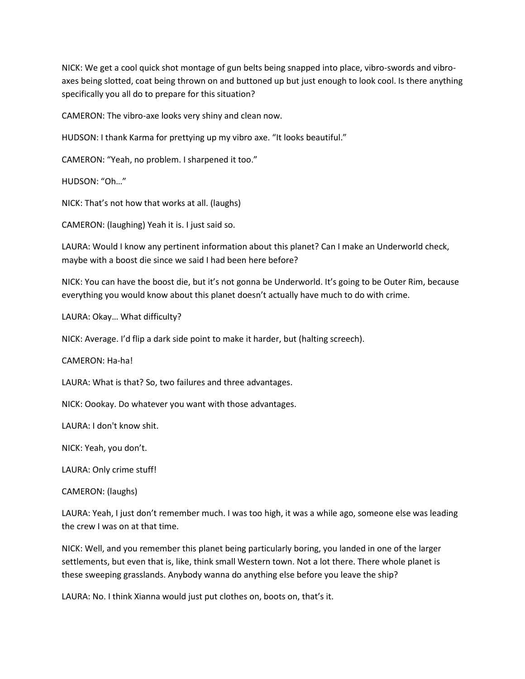NICK: We get a cool quick shot montage of gun belts being snapped into place, vibro-swords and vibroaxes being slotted, coat being thrown on and buttoned up but just enough to look cool. Is there anything specifically you all do to prepare for this situation?

CAMERON: The vibro-axe looks very shiny and clean now.

HUDSON: I thank Karma for prettying up my vibro axe. "It looks beautiful."

CAMERON: "Yeah, no problem. I sharpened it too."

HUDSON: "Oh…"

NICK: That's not how that works at all. (laughs)

CAMERON: (laughing) Yeah it is. I just said so.

LAURA: Would I know any pertinent information about this planet? Can I make an Underworld check, maybe with a boost die since we said I had been here before?

NICK: You can have the boost die, but it's not gonna be Underworld. It's going to be Outer Rim, because everything you would know about this planet doesn't actually have much to do with crime.

LAURA: Okay… What difficulty?

NICK: Average. I'd flip a dark side point to make it harder, but (halting screech).

CAMERON: Ha-ha!

LAURA: What is that? So, two failures and three advantages.

NICK: Oookay. Do whatever you want with those advantages.

LAURA: I don't know shit.

NICK: Yeah, you don't.

LAURA: Only crime stuff!

CAMERON: (laughs)

LAURA: Yeah, I just don't remember much. I was too high, it was a while ago, someone else was leading the crew I was on at that time.

NICK: Well, and you remember this planet being particularly boring, you landed in one of the larger settlements, but even that is, like, think small Western town. Not a lot there. There whole planet is these sweeping grasslands. Anybody wanna do anything else before you leave the ship?

LAURA: No. I think Xianna would just put clothes on, boots on, that's it.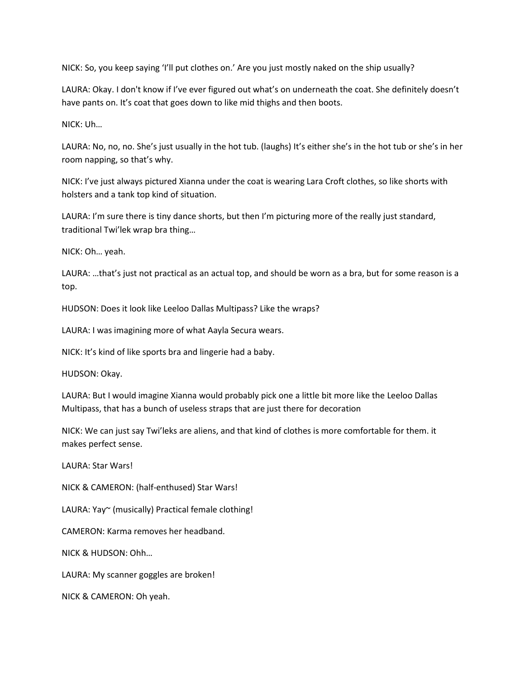NICK: So, you keep saying 'I'll put clothes on.' Are you just mostly naked on the ship usually?

LAURA: Okay. I don't know if I've ever figured out what's on underneath the coat. She definitely doesn't have pants on. It's coat that goes down to like mid thighs and then boots.

NICK: Uh…

LAURA: No, no, no. She's just usually in the hot tub. (laughs) It's either she's in the hot tub or she's in her room napping, so that's why.

NICK: I've just always pictured Xianna under the coat is wearing Lara Croft clothes, so like shorts with holsters and a tank top kind of situation.

LAURA: I'm sure there is tiny dance shorts, but then I'm picturing more of the really just standard, traditional Twi'lek wrap bra thing…

NICK: Oh… yeah.

LAURA: …that's just not practical as an actual top, and should be worn as a bra, but for some reason is a top.

HUDSON: Does it look like Leeloo Dallas Multipass? Like the wraps?

LAURA: I was imagining more of what Aayla Secura wears.

NICK: It's kind of like sports bra and lingerie had a baby.

HUDSON: Okay.

LAURA: But I would imagine Xianna would probably pick one a little bit more like the Leeloo Dallas Multipass, that has a bunch of useless straps that are just there for decoration

NICK: We can just say Twi'leks are aliens, and that kind of clothes is more comfortable for them. it makes perfect sense.

LAURA: Star Wars!

NICK & CAMERON: (half-enthused) Star Wars!

LAURA: Yay~ (musically) Practical female clothing!

CAMERON: Karma removes her headband.

NICK & HUDSON: Ohh…

LAURA: My scanner goggles are broken!

NICK & CAMERON: Oh yeah.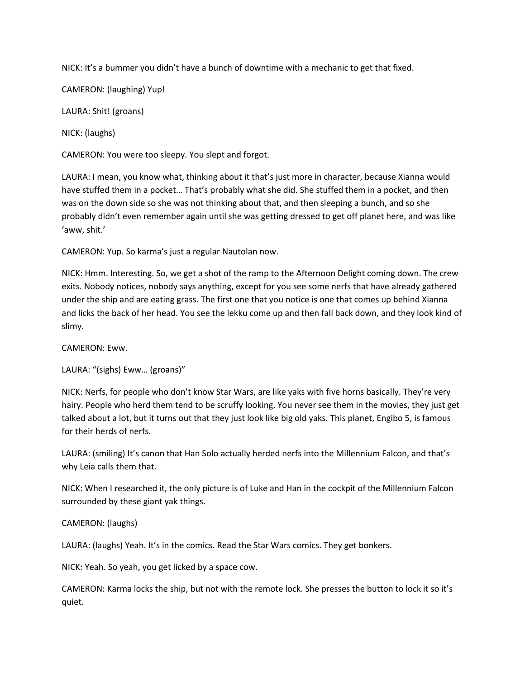NICK: It's a bummer you didn't have a bunch of downtime with a mechanic to get that fixed.

CAMERON: (laughing) Yup!

LAURA: Shit! (groans)

NICK: (laughs)

CAMERON: You were too sleepy. You slept and forgot.

LAURA: I mean, you know what, thinking about it that's just more in character, because Xianna would have stuffed them in a pocket… That's probably what she did. She stuffed them in a pocket, and then was on the down side so she was not thinking about that, and then sleeping a bunch, and so she probably didn't even remember again until she was getting dressed to get off planet here, and was like 'aww, shit.'

CAMERON: Yup. So karma's just a regular Nautolan now.

NICK: Hmm. Interesting. So, we get a shot of the ramp to the Afternoon Delight coming down. The crew exits. Nobody notices, nobody says anything, except for you see some nerfs that have already gathered under the ship and are eating grass. The first one that you notice is one that comes up behind Xianna and licks the back of her head. You see the lekku come up and then fall back down, and they look kind of slimy.

CAMERON: Eww.

LAURA: "(sighs) Eww… (groans)"

NICK: Nerfs, for people who don't know Star Wars, are like yaks with five horns basically. They're very hairy. People who herd them tend to be scruffy looking. You never see them in the movies, they just get talked about a lot, but it turns out that they just look like big old yaks. This planet, Engibo 5, is famous for their herds of nerfs.

LAURA: (smiling) It's canon that Han Solo actually herded nerfs into the Millennium Falcon, and that's why Leia calls them that.

NICK: When I researched it, the only picture is of Luke and Han in the cockpit of the Millennium Falcon surrounded by these giant yak things.

### CAMERON: (laughs)

LAURA: (laughs) Yeah. It's in the comics. Read the Star Wars comics. They get bonkers.

NICK: Yeah. So yeah, you get licked by a space cow.

CAMERON: Karma locks the ship, but not with the remote lock. She presses the button to lock it so it's quiet.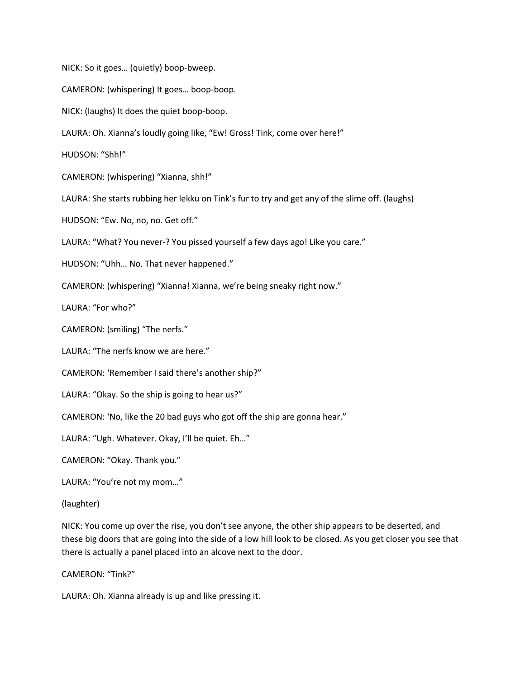NICK: So it goes… (quietly) boop-bweep. CAMERON: (whispering) It goes… boop-boop. NICK: (laughs) It does the quiet boop-boop. LAURA: Oh. Xianna's loudly going like, "Ew! Gross! Tink, come over here!" HUDSON: "Shh!" CAMERON: (whispering) "Xianna, shh!" LAURA: She starts rubbing her lekku on Tink's fur to try and get any of the slime off. (laughs) HUDSON: "Ew. No, no, no. Get off." LAURA: "What? You never-? You pissed yourself a few days ago! Like you care." HUDSON: "Uhh… No. That never happened." CAMERON: (whispering) "Xianna! Xianna, we're being sneaky right now." LAURA: "For who?" CAMERON: (smiling) "The nerfs." LAURA: "The nerfs know we are here." CAMERON: 'Remember I said there's another ship?" LAURA: "Okay. So the ship is going to hear us?" CAMERON: 'No, like the 20 bad guys who got off the ship are gonna hear." LAURA: "Ugh. Whatever. Okay, I'll be quiet. Eh…" CAMERON: "Okay. Thank you." LAURA: "You're not my mom…" (laughter) NICK: You come up over the rise, you don't see anyone, the other ship appears to be deserted, and these big doors that are going into the side of a low hill look to be closed. As you get closer you see that

CAMERON: "Tink?"

LAURA: Oh. Xianna already is up and like pressing it.

there is actually a panel placed into an alcove next to the door.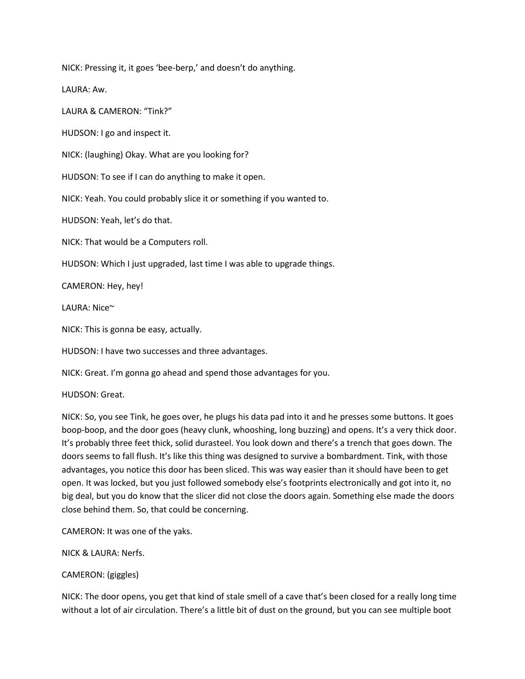NICK: Pressing it, it goes 'bee-berp,' and doesn't do anything.

LAURA: Aw.

LAURA & CAMERON: "Tink?"

HUDSON: I go and inspect it.

NICK: (laughing) Okay. What are you looking for?

HUDSON: To see if I can do anything to make it open.

NICK: Yeah. You could probably slice it or something if you wanted to.

HUDSON: Yeah, let's do that.

NICK: That would be a Computers roll.

HUDSON: Which I just upgraded, last time I was able to upgrade things.

CAMERON: Hey, hey!

LAURA: Nice~

NICK: This is gonna be easy, actually.

HUDSON: I have two successes and three advantages.

NICK: Great. I'm gonna go ahead and spend those advantages for you.

HUDSON: Great.

NICK: So, you see Tink, he goes over, he plugs his data pad into it and he presses some buttons. It goes boop-boop, and the door goes (heavy clunk, whooshing, long buzzing) and opens. It's a very thick door. It's probably three feet thick, solid durasteel. You look down and there's a trench that goes down. The doors seems to fall flush. It's like this thing was designed to survive a bombardment. Tink, with those advantages, you notice this door has been sliced. This was way easier than it should have been to get open. It was locked, but you just followed somebody else's footprints electronically and got into it, no big deal, but you do know that the slicer did not close the doors again. Something else made the doors close behind them. So, that could be concerning.

CAMERON: It was one of the yaks.

NICK & LAURA: Nerfs.

### CAMERON: (giggles)

NICK: The door opens, you get that kind of stale smell of a cave that's been closed for a really long time without a lot of air circulation. There's a little bit of dust on the ground, but you can see multiple boot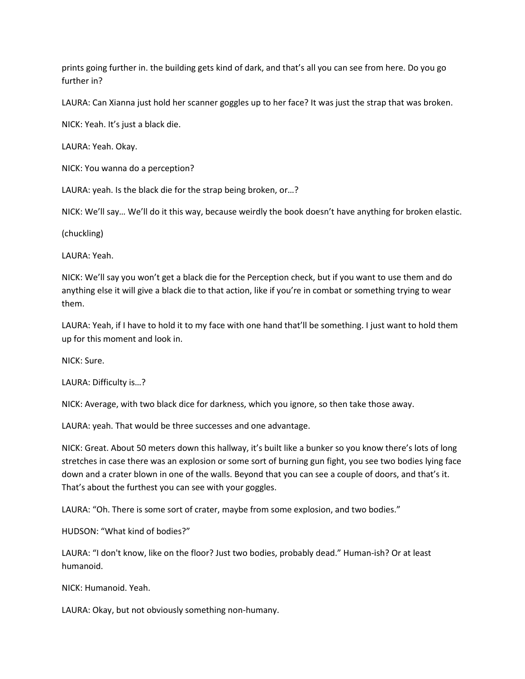prints going further in. the building gets kind of dark, and that's all you can see from here. Do you go further in?

LAURA: Can Xianna just hold her scanner goggles up to her face? It was just the strap that was broken.

NICK: Yeah. It's just a black die.

LAURA: Yeah. Okay.

NICK: You wanna do a perception?

LAURA: yeah. Is the black die for the strap being broken, or…?

NICK: We'll say… We'll do it this way, because weirdly the book doesn't have anything for broken elastic.

(chuckling)

LAURA: Yeah.

NICK: We'll say you won't get a black die for the Perception check, but if you want to use them and do anything else it will give a black die to that action, like if you're in combat or something trying to wear them.

LAURA: Yeah, if I have to hold it to my face with one hand that'll be something. I just want to hold them up for this moment and look in.

NICK: Sure.

LAURA: Difficulty is…?

NICK: Average, with two black dice for darkness, which you ignore, so then take those away.

LAURA: yeah. That would be three successes and one advantage.

NICK: Great. About 50 meters down this hallway, it's built like a bunker so you know there's lots of long stretches in case there was an explosion or some sort of burning gun fight, you see two bodies lying face down and a crater blown in one of the walls. Beyond that you can see a couple of doors, and that's it. That's about the furthest you can see with your goggles.

LAURA: "Oh. There is some sort of crater, maybe from some explosion, and two bodies."

HUDSON: "What kind of bodies?"

LAURA: "I don't know, like on the floor? Just two bodies, probably dead." Human-ish? Or at least humanoid.

NICK: Humanoid. Yeah.

LAURA: Okay, but not obviously something non-humany.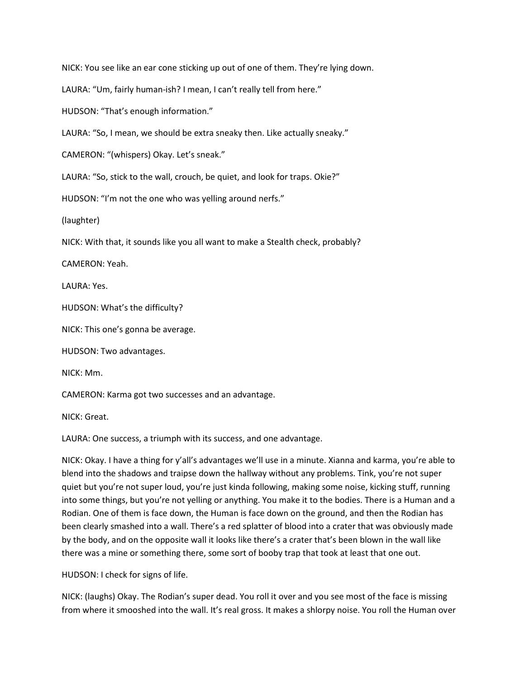NICK: You see like an ear cone sticking up out of one of them. They're lying down.

LAURA: "Um, fairly human-ish? I mean, I can't really tell from here."

HUDSON: "That's enough information."

LAURA: "So, I mean, we should be extra sneaky then. Like actually sneaky."

CAMERON: "(whispers) Okay. Let's sneak."

LAURA: "So, stick to the wall, crouch, be quiet, and look for traps. Okie?"

HUDSON: "I'm not the one who was yelling around nerfs."

(laughter)

NICK: With that, it sounds like you all want to make a Stealth check, probably?

CAMERON: Yeah.

LAURA: Yes.

HUDSON: What's the difficulty?

NICK: This one's gonna be average.

HUDSON: Two advantages.

NICK: Mm.

CAMERON: Karma got two successes and an advantage.

NICK: Great.

LAURA: One success, a triumph with its success, and one advantage.

NICK: Okay. I have a thing for y'all's advantages we'll use in a minute. Xianna and karma, you're able to blend into the shadows and traipse down the hallway without any problems. Tink, you're not super quiet but you're not super loud, you're just kinda following, making some noise, kicking stuff, running into some things, but you're not yelling or anything. You make it to the bodies. There is a Human and a Rodian. One of them is face down, the Human is face down on the ground, and then the Rodian has been clearly smashed into a wall. There's a red splatter of blood into a crater that was obviously made by the body, and on the opposite wall it looks like there's a crater that's been blown in the wall like there was a mine or something there, some sort of booby trap that took at least that one out.

HUDSON: I check for signs of life.

NICK: (laughs) Okay. The Rodian's super dead. You roll it over and you see most of the face is missing from where it smooshed into the wall. It's real gross. It makes a shlorpy noise. You roll the Human over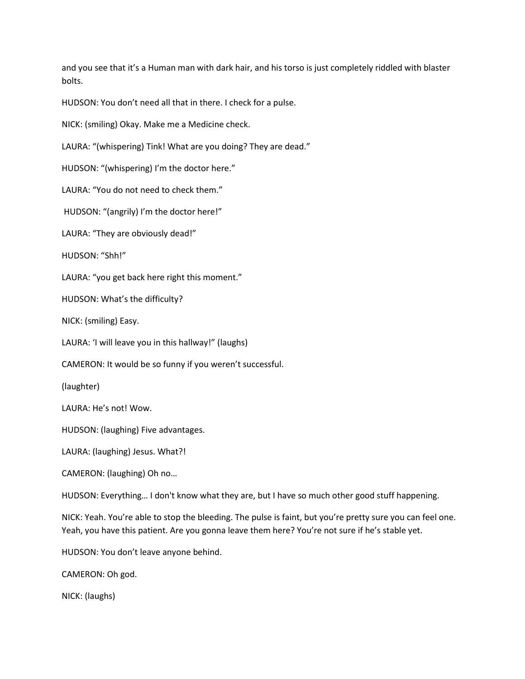and you see that it's a Human man with dark hair, and his torso is just completely riddled with blaster bolts.

HUDSON: You don't need all that in there. I check for a pulse.

NICK: (smiling) Okay. Make me a Medicine check.

LAURA: "(whispering) Tink! What are you doing? They are dead."

HUDSON: "(whispering) I'm the doctor here."

LAURA: "You do not need to check them."

HUDSON: "(angrily) I'm the doctor here!"

LAURA: "They are obviously dead!"

HUDSON: "Shh!"

LAURA: "you get back here right this moment."

HUDSON: What's the difficulty?

NICK: (smiling) Easy.

LAURA: 'I will leave you in this hallway!" (laughs)

CAMERON: It would be so funny if you weren't successful.

(laughter)

LAURA: He's not! Wow.

HUDSON: (laughing) Five advantages.

LAURA: (laughing) Jesus. What?!

CAMERON: (laughing) Oh no…

HUDSON: Everything… I don't know what they are, but I have so much other good stuff happening.

NICK: Yeah. You're able to stop the bleeding. The pulse is faint, but you're pretty sure you can feel one. Yeah, you have this patient. Are you gonna leave them here? You're not sure if he's stable yet.

HUDSON: You don't leave anyone behind.

CAMERON: Oh god.

NICK: (laughs)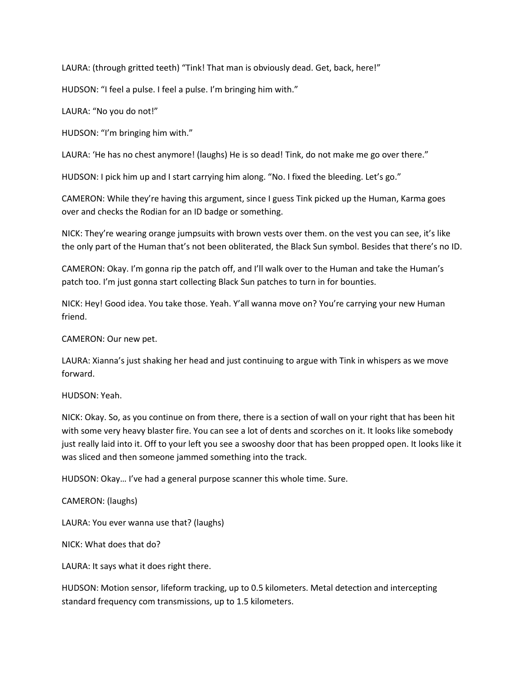LAURA: (through gritted teeth) "Tink! That man is obviously dead. Get, back, here!"

HUDSON: "I feel a pulse. I feel a pulse. I'm bringing him with."

LAURA: "No you do not!"

HUDSON: "I'm bringing him with."

LAURA: 'He has no chest anymore! (laughs) He is so dead! Tink, do not make me go over there."

HUDSON: I pick him up and I start carrying him along. "No. I fixed the bleeding. Let's go."

CAMERON: While they're having this argument, since I guess Tink picked up the Human, Karma goes over and checks the Rodian for an ID badge or something.

NICK: They're wearing orange jumpsuits with brown vests over them. on the vest you can see, it's like the only part of the Human that's not been obliterated, the Black Sun symbol. Besides that there's no ID.

CAMERON: Okay. I'm gonna rip the patch off, and I'll walk over to the Human and take the Human's patch too. I'm just gonna start collecting Black Sun patches to turn in for bounties.

NICK: Hey! Good idea. You take those. Yeah. Y'all wanna move on? You're carrying your new Human friend.

CAMERON: Our new pet.

LAURA: Xianna's just shaking her head and just continuing to argue with Tink in whispers as we move forward.

HUDSON: Yeah.

NICK: Okay. So, as you continue on from there, there is a section of wall on your right that has been hit with some very heavy blaster fire. You can see a lot of dents and scorches on it. It looks like somebody just really laid into it. Off to your left you see a swooshy door that has been propped open. It looks like it was sliced and then someone jammed something into the track.

HUDSON: Okay… I've had a general purpose scanner this whole time. Sure.

CAMERON: (laughs)

LAURA: You ever wanna use that? (laughs)

NICK: What does that do?

LAURA: It says what it does right there.

HUDSON: Motion sensor, lifeform tracking, up to 0.5 kilometers. Metal detection and intercepting standard frequency com transmissions, up to 1.5 kilometers.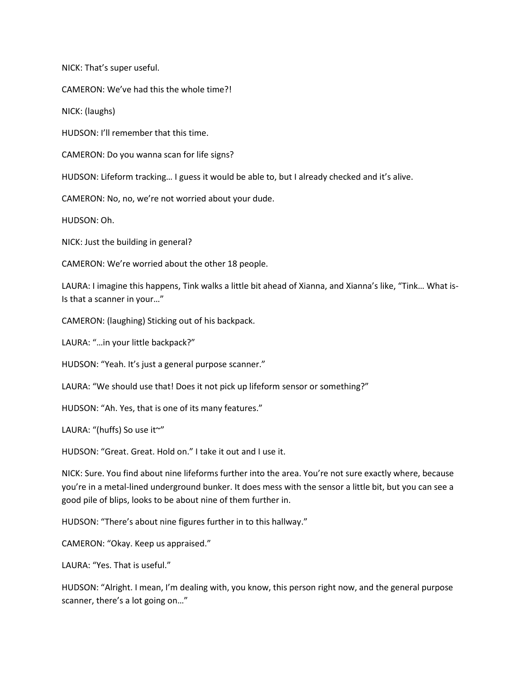NICK: That's super useful.

CAMERON: We've had this the whole time?!

NICK: (laughs)

HUDSON: I'll remember that this time.

CAMERON: Do you wanna scan for life signs?

HUDSON: Lifeform tracking… I guess it would be able to, but I already checked and it's alive.

CAMERON: No, no, we're not worried about your dude.

HUDSON: Oh.

NICK: Just the building in general?

CAMERON: We're worried about the other 18 people.

LAURA: I imagine this happens, Tink walks a little bit ahead of Xianna, and Xianna's like, "Tink… What is-Is that a scanner in your…"

CAMERON: (laughing) Sticking out of his backpack.

LAURA: "…in your little backpack?"

HUDSON: "Yeah. It's just a general purpose scanner."

LAURA: "We should use that! Does it not pick up lifeform sensor or something?"

HUDSON: "Ah. Yes, that is one of its many features."

LAURA: "(huffs) So use it~"

HUDSON: "Great. Great. Hold on." I take it out and I use it.

NICK: Sure. You find about nine lifeforms further into the area. You're not sure exactly where, because you're in a metal-lined underground bunker. It does mess with the sensor a little bit, but you can see a good pile of blips, looks to be about nine of them further in.

HUDSON: "There's about nine figures further in to this hallway."

CAMERON: "Okay. Keep us appraised."

LAURA: "Yes. That is useful."

HUDSON: "Alright. I mean, I'm dealing with, you know, this person right now, and the general purpose scanner, there's a lot going on…"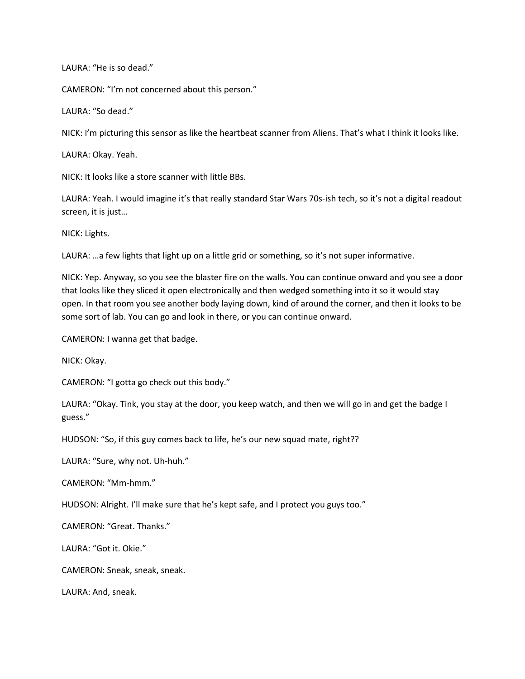LAURA: "He is so dead."

CAMERON: "I'm not concerned about this person."

LAURA: "So dead."

NICK: I'm picturing this sensor as like the heartbeat scanner from Aliens. That's what I think it looks like.

LAURA: Okay. Yeah.

NICK: It looks like a store scanner with little BBs.

LAURA: Yeah. I would imagine it's that really standard Star Wars 70s-ish tech, so it's not a digital readout screen, it is just…

NICK: Lights.

LAURA: ...a few lights that light up on a little grid or something, so it's not super informative.

NICK: Yep. Anyway, so you see the blaster fire on the walls. You can continue onward and you see a door that looks like they sliced it open electronically and then wedged something into it so it would stay open. In that room you see another body laying down, kind of around the corner, and then it looks to be some sort of lab. You can go and look in there, or you can continue onward.

CAMERON: I wanna get that badge.

NICK: Okay.

CAMERON: "I gotta go check out this body."

LAURA: "Okay. Tink, you stay at the door, you keep watch, and then we will go in and get the badge I guess."

HUDSON: "So, if this guy comes back to life, he's our new squad mate, right??

LAURA: "Sure, why not. Uh-huh."

CAMERON: "Mm-hmm."

HUDSON: Alright. I'll make sure that he's kept safe, and I protect you guys too."

CAMERON: "Great. Thanks."

LAURA: "Got it. Okie."

CAMERON: Sneak, sneak, sneak.

LAURA: And, sneak.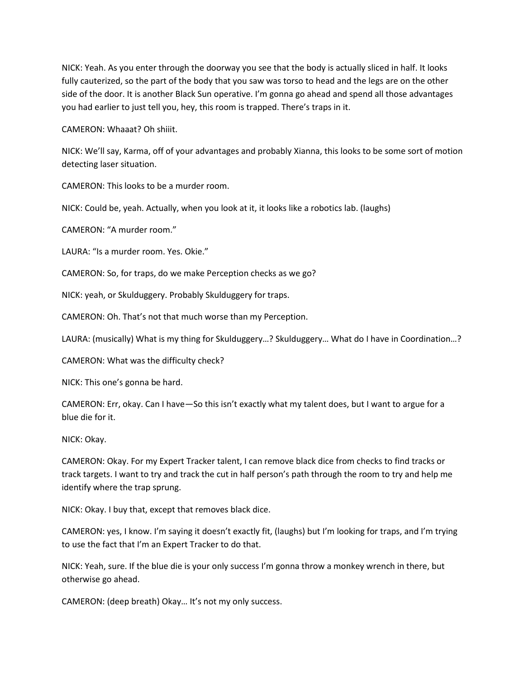NICK: Yeah. As you enter through the doorway you see that the body is actually sliced in half. It looks fully cauterized, so the part of the body that you saw was torso to head and the legs are on the other side of the door. It is another Black Sun operative. I'm gonna go ahead and spend all those advantages you had earlier to just tell you, hey, this room is trapped. There's traps in it.

CAMERON: Whaaat? Oh shiiit.

NICK: We'll say, Karma, off of your advantages and probably Xianna, this looks to be some sort of motion detecting laser situation.

CAMERON: This looks to be a murder room.

NICK: Could be, yeah. Actually, when you look at it, it looks like a robotics lab. (laughs)

CAMERON: "A murder room."

LAURA: "Is a murder room. Yes. Okie."

CAMERON: So, for traps, do we make Perception checks as we go?

NICK: yeah, or Skulduggery. Probably Skulduggery for traps.

CAMERON: Oh. That's not that much worse than my Perception.

LAURA: (musically) What is my thing for Skulduggery...? Skulduggery... What do I have in Coordination...?

CAMERON: What was the difficulty check?

NICK: This one's gonna be hard.

CAMERON: Err, okay. Can I have—So this isn't exactly what my talent does, but I want to argue for a blue die for it.

NICK: Okay.

CAMERON: Okay. For my Expert Tracker talent, I can remove black dice from checks to find tracks or track targets. I want to try and track the cut in half person's path through the room to try and help me identify where the trap sprung.

NICK: Okay. I buy that, except that removes black dice.

CAMERON: yes, I know. I'm saying it doesn't exactly fit, (laughs) but I'm looking for traps, and I'm trying to use the fact that I'm an Expert Tracker to do that.

NICK: Yeah, sure. If the blue die is your only success I'm gonna throw a monkey wrench in there, but otherwise go ahead.

CAMERON: (deep breath) Okay… It's not my only success.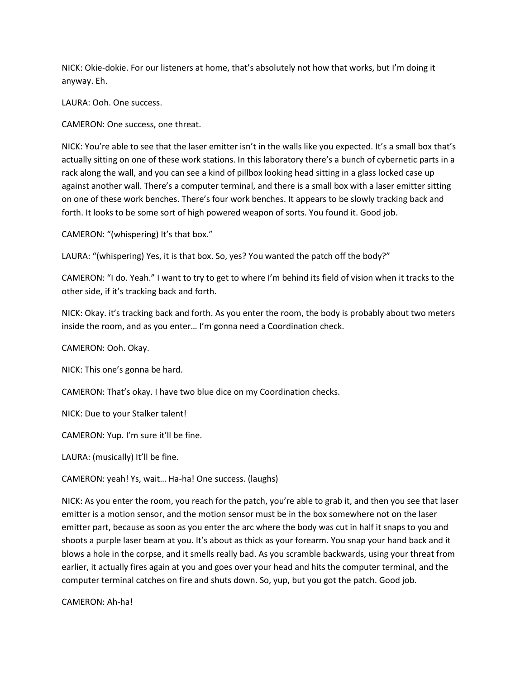NICK: Okie-dokie. For our listeners at home, that's absolutely not how that works, but I'm doing it anyway. Eh.

LAURA: Ooh. One success.

CAMERON: One success, one threat.

NICK: You're able to see that the laser emitter isn't in the walls like you expected. It's a small box that's actually sitting on one of these work stations. In this laboratory there's a bunch of cybernetic parts in a rack along the wall, and you can see a kind of pillbox looking head sitting in a glass locked case up against another wall. There's a computer terminal, and there is a small box with a laser emitter sitting on one of these work benches. There's four work benches. It appears to be slowly tracking back and forth. It looks to be some sort of high powered weapon of sorts. You found it. Good job.

CAMERON: "(whispering) It's that box."

LAURA: "(whispering) Yes, it is that box. So, yes? You wanted the patch off the body?"

CAMERON: "I do. Yeah." I want to try to get to where I'm behind its field of vision when it tracks to the other side, if it's tracking back and forth.

NICK: Okay. it's tracking back and forth. As you enter the room, the body is probably about two meters inside the room, and as you enter… I'm gonna need a Coordination check.

CAMERON: Ooh. Okay.

NICK: This one's gonna be hard.

CAMERON: That's okay. I have two blue dice on my Coordination checks.

NICK: Due to your Stalker talent!

CAMERON: Yup. I'm sure it'll be fine.

LAURA: (musically) It'll be fine.

CAMERON: yeah! Ys, wait… Ha-ha! One success. (laughs)

NICK: As you enter the room, you reach for the patch, you're able to grab it, and then you see that laser emitter is a motion sensor, and the motion sensor must be in the box somewhere not on the laser emitter part, because as soon as you enter the arc where the body was cut in half it snaps to you and shoots a purple laser beam at you. It's about as thick as your forearm. You snap your hand back and it blows a hole in the corpse, and it smells really bad. As you scramble backwards, using your threat from earlier, it actually fires again at you and goes over your head and hits the computer terminal, and the computer terminal catches on fire and shuts down. So, yup, but you got the patch. Good job.

CAMERON: Ah-ha!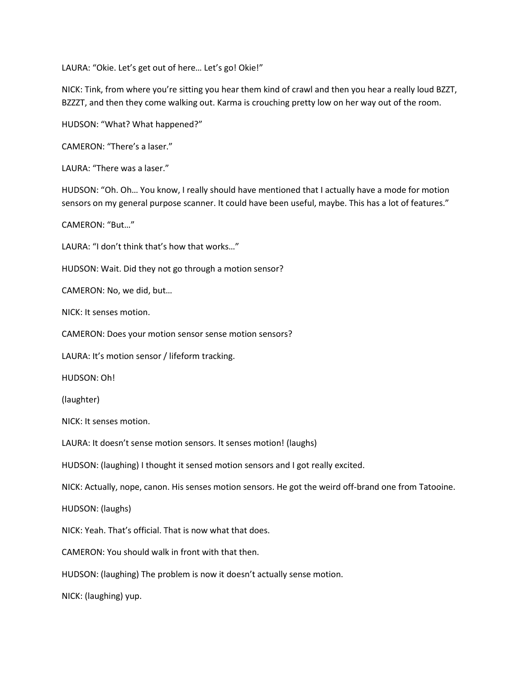LAURA: "Okie. Let's get out of here… Let's go! Okie!"

NICK: Tink, from where you're sitting you hear them kind of crawl and then you hear a really loud BZZT, BZZZT, and then they come walking out. Karma is crouching pretty low on her way out of the room.

HUDSON: "What? What happened?"

CAMERON: "There's a laser."

LAURA: "There was a laser."

HUDSON: "Oh. Oh… You know, I really should have mentioned that I actually have a mode for motion sensors on my general purpose scanner. It could have been useful, maybe. This has a lot of features."

CAMERON: "But…"

LAURA: "I don't think that's how that works…"

HUDSON: Wait. Did they not go through a motion sensor?

CAMERON: No, we did, but…

NICK: It senses motion.

CAMERON: Does your motion sensor sense motion sensors?

LAURA: It's motion sensor / lifeform tracking.

HUDSON: Oh!

(laughter)

NICK: It senses motion.

LAURA: It doesn't sense motion sensors. It senses motion! (laughs)

HUDSON: (laughing) I thought it sensed motion sensors and I got really excited.

NICK: Actually, nope, canon. His senses motion sensors. He got the weird off-brand one from Tatooine.

HUDSON: (laughs)

NICK: Yeah. That's official. That is now what that does.

CAMERON: You should walk in front with that then.

HUDSON: (laughing) The problem is now it doesn't actually sense motion.

NICK: (laughing) yup.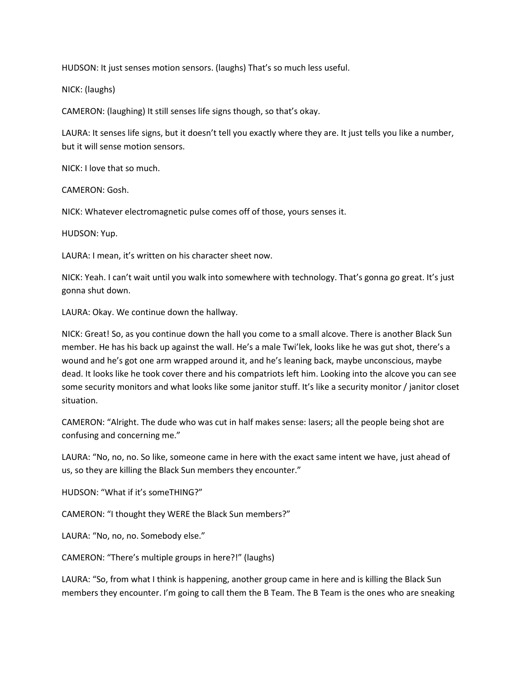HUDSON: It just senses motion sensors. (laughs) That's so much less useful.

NICK: (laughs)

CAMERON: (laughing) It still senses life signs though, so that's okay.

LAURA: It senses life signs, but it doesn't tell you exactly where they are. It just tells you like a number, but it will sense motion sensors.

NICK: I love that so much.

CAMERON: Gosh.

NICK: Whatever electromagnetic pulse comes off of those, yours senses it.

HUDSON: Yup.

LAURA: I mean, it's written on his character sheet now.

NICK: Yeah. I can't wait until you walk into somewhere with technology. That's gonna go great. It's just gonna shut down.

LAURA: Okay. We continue down the hallway.

NICK: Great! So, as you continue down the hall you come to a small alcove. There is another Black Sun member. He has his back up against the wall. He's a male Twi'lek, looks like he was gut shot, there's a wound and he's got one arm wrapped around it, and he's leaning back, maybe unconscious, maybe dead. It looks like he took cover there and his compatriots left him. Looking into the alcove you can see some security monitors and what looks like some janitor stuff. It's like a security monitor / janitor closet situation.

CAMERON: "Alright. The dude who was cut in half makes sense: lasers; all the people being shot are confusing and concerning me."

LAURA: "No, no, no. So like, someone came in here with the exact same intent we have, just ahead of us, so they are killing the Black Sun members they encounter."

HUDSON: "What if it's someTHING?"

CAMERON: "I thought they WERE the Black Sun members?"

LAURA: "No, no, no. Somebody else."

CAMERON: "There's multiple groups in here?!" (laughs)

LAURA: "So, from what I think is happening, another group came in here and is killing the Black Sun members they encounter. I'm going to call them the B Team. The B Team is the ones who are sneaking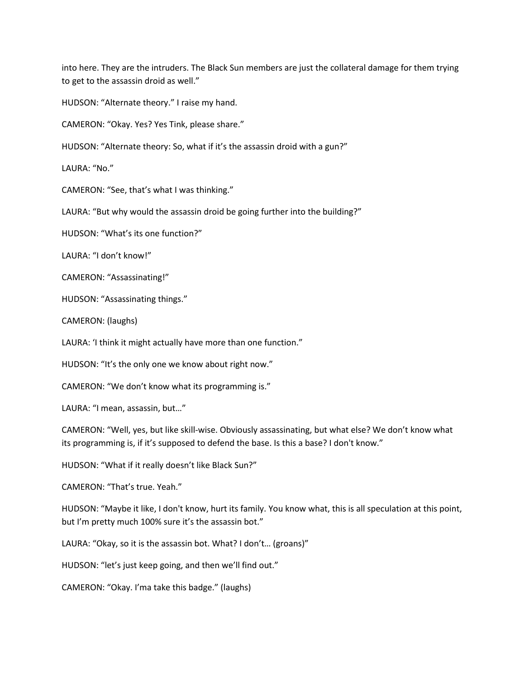into here. They are the intruders. The Black Sun members are just the collateral damage for them trying to get to the assassin droid as well."

HUDSON: "Alternate theory." I raise my hand.

CAMERON: "Okay. Yes? Yes Tink, please share."

HUDSON: "Alternate theory: So, what if it's the assassin droid with a gun?"

LAURA: "No."

CAMERON: "See, that's what I was thinking."

LAURA: "But why would the assassin droid be going further into the building?"

HUDSON: "What's its one function?"

LAURA: "I don't know!"

CAMERON: "Assassinating!"

HUDSON: "Assassinating things."

CAMERON: (laughs)

LAURA: 'I think it might actually have more than one function."

HUDSON: "It's the only one we know about right now."

CAMERON: "We don't know what its programming is."

LAURA: "I mean, assassin, but…"

CAMERON: "Well, yes, but like skill-wise. Obviously assassinating, but what else? We don't know what its programming is, if it's supposed to defend the base. Is this a base? I don't know."

HUDSON: "What if it really doesn't like Black Sun?"

CAMERON: "That's true. Yeah."

HUDSON: "Maybe it like, I don't know, hurt its family. You know what, this is all speculation at this point, but I'm pretty much 100% sure it's the assassin bot."

LAURA: "Okay, so it is the assassin bot. What? I don't… (groans)"

HUDSON: "let's just keep going, and then we'll find out."

CAMERON: "Okay. I'ma take this badge." (laughs)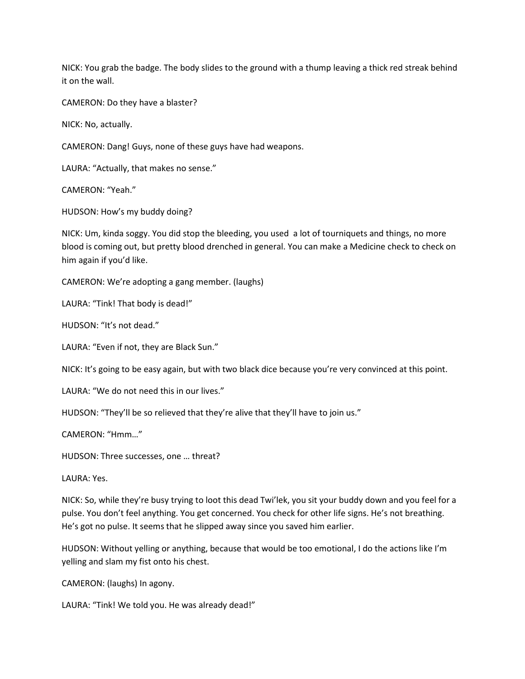NICK: You grab the badge. The body slides to the ground with a thump leaving a thick red streak behind it on the wall.

CAMERON: Do they have a blaster?

NICK: No, actually.

CAMERON: Dang! Guys, none of these guys have had weapons.

LAURA: "Actually, that makes no sense."

CAMERON: "Yeah."

HUDSON: How's my buddy doing?

NICK: Um, kinda soggy. You did stop the bleeding, you used a lot of tourniquets and things, no more blood is coming out, but pretty blood drenched in general. You can make a Medicine check to check on him again if you'd like.

CAMERON: We're adopting a gang member. (laughs)

LAURA: "Tink! That body is dead!"

HUDSON: "It's not dead."

LAURA: "Even if not, they are Black Sun."

NICK: It's going to be easy again, but with two black dice because you're very convinced at this point.

LAURA: "We do not need this in our lives."

HUDSON: "They'll be so relieved that they're alive that they'll have to join us."

CAMERON: "Hmm…"

HUDSON: Three successes, one … threat?

LAURA: Yes.

NICK: So, while they're busy trying to loot this dead Twi'lek, you sit your buddy down and you feel for a pulse. You don't feel anything. You get concerned. You check for other life signs. He's not breathing. He's got no pulse. It seems that he slipped away since you saved him earlier.

HUDSON: Without yelling or anything, because that would be too emotional, I do the actions like I'm yelling and slam my fist onto his chest.

CAMERON: (laughs) In agony.

LAURA: "Tink! We told you. He was already dead!"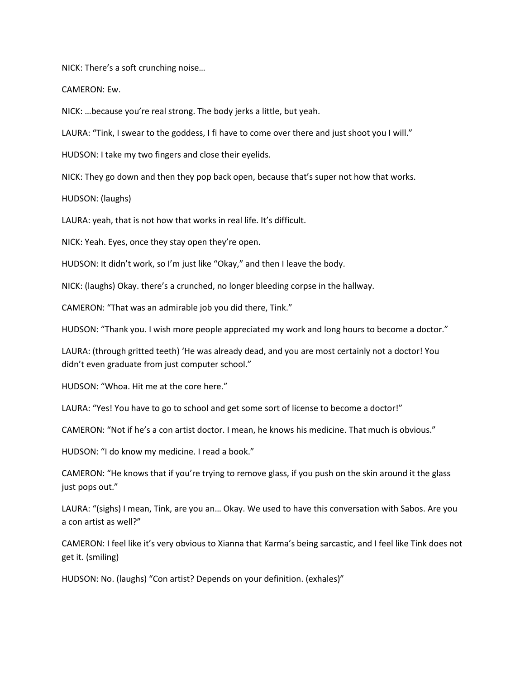NICK: There's a soft crunching noise…

CAMERON: Ew.

NICK: …because you're real strong. The body jerks a little, but yeah.

LAURA: "Tink, I swear to the goddess, I fi have to come over there and just shoot you I will."

HUDSON: I take my two fingers and close their eyelids.

NICK: They go down and then they pop back open, because that's super not how that works.

HUDSON: (laughs)

LAURA: yeah, that is not how that works in real life. It's difficult.

NICK: Yeah. Eyes, once they stay open they're open.

HUDSON: It didn't work, so I'm just like "Okay," and then I leave the body.

NICK: (laughs) Okay. there's a crunched, no longer bleeding corpse in the hallway.

CAMERON: "That was an admirable job you did there, Tink."

HUDSON: "Thank you. I wish more people appreciated my work and long hours to become a doctor."

LAURA: (through gritted teeth) 'He was already dead, and you are most certainly not a doctor! You didn't even graduate from just computer school."

HUDSON: "Whoa. Hit me at the core here."

LAURA: "Yes! You have to go to school and get some sort of license to become a doctor!"

CAMERON: "Not if he's a con artist doctor. I mean, he knows his medicine. That much is obvious."

HUDSON: "I do know my medicine. I read a book."

CAMERON: "He knows that if you're trying to remove glass, if you push on the skin around it the glass just pops out."

LAURA: "(sighs) I mean, Tink, are you an… Okay. We used to have this conversation with Sabos. Are you a con artist as well?"

CAMERON: I feel like it's very obvious to Xianna that Karma's being sarcastic, and I feel like Tink does not get it. (smiling)

HUDSON: No. (laughs) "Con artist? Depends on your definition. (exhales)"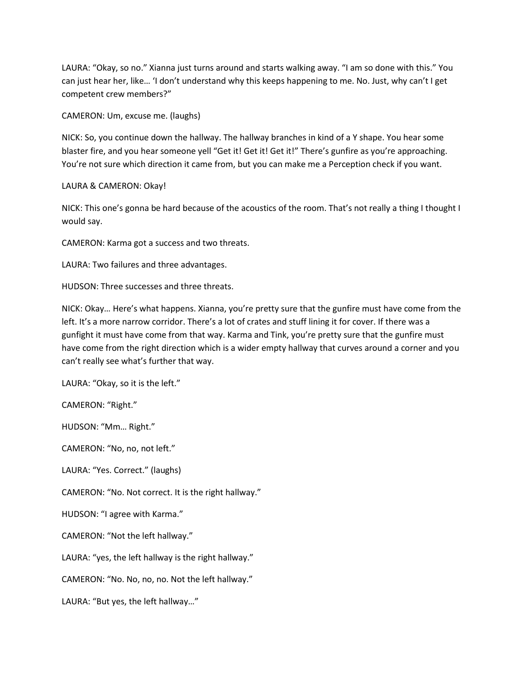LAURA: "Okay, so no." Xianna just turns around and starts walking away. "I am so done with this." You can just hear her, like… 'I don't understand why this keeps happening to me. No. Just, why can't I get competent crew members?"

CAMERON: Um, excuse me. (laughs)

NICK: So, you continue down the hallway. The hallway branches in kind of a Y shape. You hear some blaster fire, and you hear someone yell "Get it! Get it! Get it!" There's gunfire as you're approaching. You're not sure which direction it came from, but you can make me a Perception check if you want.

LAURA & CAMERON: Okay!

NICK: This one's gonna be hard because of the acoustics of the room. That's not really a thing I thought I would say.

CAMERON: Karma got a success and two threats.

LAURA: Two failures and three advantages.

HUDSON: Three successes and three threats.

NICK: Okay… Here's what happens. Xianna, you're pretty sure that the gunfire must have come from the left. It's a more narrow corridor. There's a lot of crates and stuff lining it for cover. If there was a gunfight it must have come from that way. Karma and Tink, you're pretty sure that the gunfire must have come from the right direction which is a wider empty hallway that curves around a corner and you can't really see what's further that way.

LAURA: "Okay, so it is the left."

CAMERON: "Right."

HUDSON: "Mm… Right."

CAMERON: "No, no, not left."

LAURA: "Yes. Correct." (laughs)

CAMERON: "No. Not correct. It is the right hallway."

HUDSON: "I agree with Karma."

CAMERON: "Not the left hallway."

LAURA: "yes, the left hallway is the right hallway."

CAMERON: "No. No, no, no. Not the left hallway."

LAURA: "But yes, the left hallway…"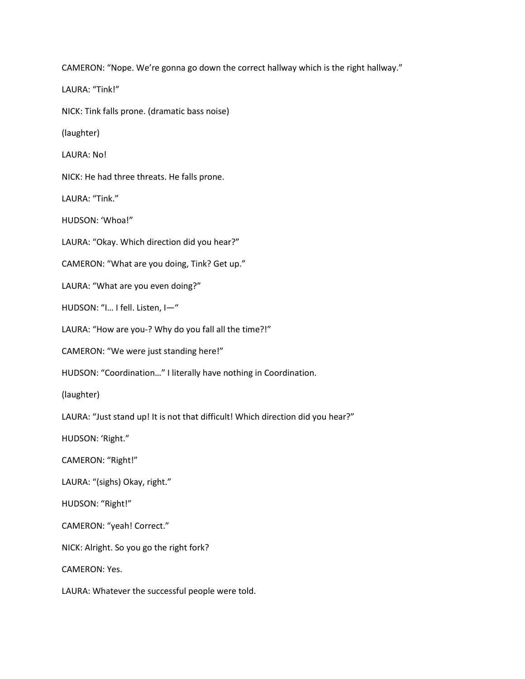CAMERON: "Nope. We're gonna go down the correct hallway which is the right hallway." LAURA: "Tink!" NICK: Tink falls prone. (dramatic bass noise) (laughter) LAURA: No! NICK: He had three threats. He falls prone. LAURA: "Tink." HUDSON: 'Whoa!" LAURA: "Okay. Which direction did you hear?" CAMERON: "What are you doing, Tink? Get up." LAURA: "What are you even doing?" HUDSON: "I… I fell. Listen, I—" LAURA: "How are you-? Why do you fall all the time?!" CAMERON: "We were just standing here!" HUDSON: "Coordination…" I literally have nothing in Coordination. (laughter) LAURA: "Just stand up! It is not that difficult! Which direction did you hear?" HUDSON: 'Right." CAMERON: "Right!" LAURA: "(sighs) Okay, right." HUDSON: "Right!" CAMERON: "yeah! Correct." NICK: Alright. So you go the right fork? CAMERON: Yes. LAURA: Whatever the successful people were told.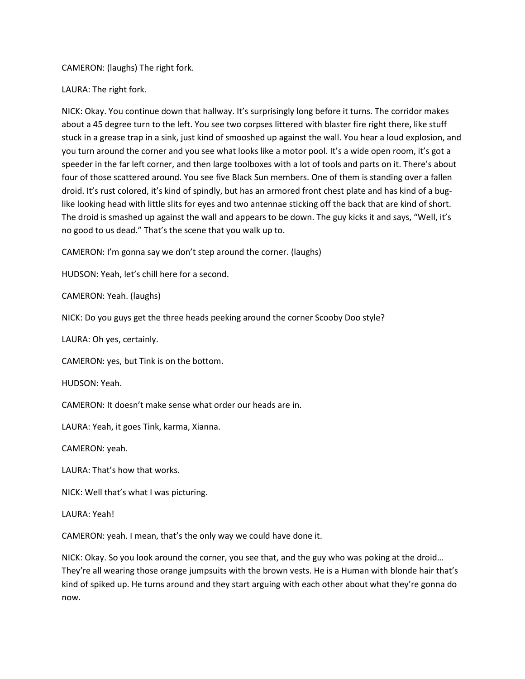CAMERON: (laughs) The right fork.

LAURA: The right fork.

NICK: Okay. You continue down that hallway. It's surprisingly long before it turns. The corridor makes about a 45 degree turn to the left. You see two corpses littered with blaster fire right there, like stuff stuck in a grease trap in a sink, just kind of smooshed up against the wall. You hear a loud explosion, and you turn around the corner and you see what looks like a motor pool. It's a wide open room, it's got a speeder in the far left corner, and then large toolboxes with a lot of tools and parts on it. There's about four of those scattered around. You see five Black Sun members. One of them is standing over a fallen droid. It's rust colored, it's kind of spindly, but has an armored front chest plate and has kind of a buglike looking head with little slits for eyes and two antennae sticking off the back that are kind of short. The droid is smashed up against the wall and appears to be down. The guy kicks it and says, "Well, it's no good to us dead." That's the scene that you walk up to.

CAMERON: I'm gonna say we don't step around the corner. (laughs)

HUDSON: Yeah, let's chill here for a second.

CAMERON: Yeah. (laughs)

NICK: Do you guys get the three heads peeking around the corner Scooby Doo style?

LAURA: Oh yes, certainly.

CAMERON: yes, but Tink is on the bottom.

HUDSON: Yeah.

CAMERON: It doesn't make sense what order our heads are in.

LAURA: Yeah, it goes Tink, karma, Xianna.

CAMERON: yeah.

LAURA: That's how that works.

NICK: Well that's what I was picturing.

LAURA: Yeah!

CAMERON: yeah. I mean, that's the only way we could have done it.

NICK: Okay. So you look around the corner, you see that, and the guy who was poking at the droid… They're all wearing those orange jumpsuits with the brown vests. He is a Human with blonde hair that's kind of spiked up. He turns around and they start arguing with each other about what they're gonna do now.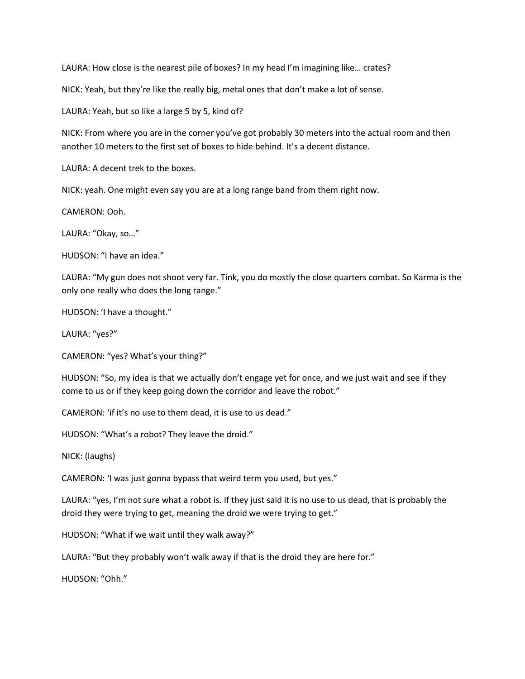LAURA: How close is the nearest pile of boxes? In my head I'm imagining like… crates?

NICK: Yeah, but they're like the really big, metal ones that don't make a lot of sense.

LAURA: Yeah, but so like a large 5 by 5, kind of?

NICK: From where you are in the corner you've got probably 30 meters into the actual room and then another 10 meters to the first set of boxes to hide behind. It's a decent distance.

LAURA: A decent trek to the boxes.

NICK: yeah. One might even say you are at a long range band from them right now.

CAMERON: Ooh.

LAURA: "Okay, so…"

HUDSON: "I have an idea."

LAURA: "My gun does not shoot very far. Tink, you do mostly the close quarters combat. So Karma is the only one really who does the long range."

HUDSON: 'I have a thought."

LAURA: "yes?"

CAMERON: "yes? What's your thing?"

HUDSON: "So, my idea is that we actually don't engage yet for once, and we just wait and see if they come to us or if they keep going down the corridor and leave the robot."

CAMERON: 'if it's no use to them dead, it is use to us dead."

HUDSON: "What's a robot? They leave the droid."

NICK: (laughs)

CAMERON: 'I was just gonna bypass that weird term you used, but yes."

LAURA: "yes, I'm not sure what a robot is. If they just said it is no use to us dead, that is probably the droid they were trying to get, meaning the droid we were trying to get."

HUDSON: "What if we wait until they walk away?"

LAURA: "But they probably won't walk away if that is the droid they are here for."

HUDSON: "Ohh."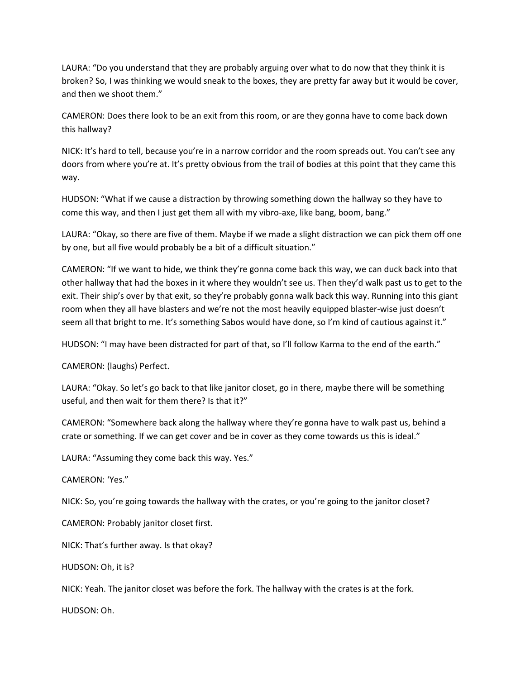LAURA: "Do you understand that they are probably arguing over what to do now that they think it is broken? So, I was thinking we would sneak to the boxes, they are pretty far away but it would be cover, and then we shoot them."

CAMERON: Does there look to be an exit from this room, or are they gonna have to come back down this hallway?

NICK: It's hard to tell, because you're in a narrow corridor and the room spreads out. You can't see any doors from where you're at. It's pretty obvious from the trail of bodies at this point that they came this way.

HUDSON: "What if we cause a distraction by throwing something down the hallway so they have to come this way, and then I just get them all with my vibro-axe, like bang, boom, bang."

LAURA: "Okay, so there are five of them. Maybe if we made a slight distraction we can pick them off one by one, but all five would probably be a bit of a difficult situation."

CAMERON: "If we want to hide, we think they're gonna come back this way, we can duck back into that other hallway that had the boxes in it where they wouldn't see us. Then they'd walk past us to get to the exit. Their ship's over by that exit, so they're probably gonna walk back this way. Running into this giant room when they all have blasters and we're not the most heavily equipped blaster-wise just doesn't seem all that bright to me. It's something Sabos would have done, so I'm kind of cautious against it."

HUDSON: "I may have been distracted for part of that, so I'll follow Karma to the end of the earth."

CAMERON: (laughs) Perfect.

LAURA: "Okay. So let's go back to that like janitor closet, go in there, maybe there will be something useful, and then wait for them there? Is that it?"

CAMERON: "Somewhere back along the hallway where they're gonna have to walk past us, behind a crate or something. If we can get cover and be in cover as they come towards us this is ideal."

LAURA: "Assuming they come back this way. Yes."

CAMERON: 'Yes."

NICK: So, you're going towards the hallway with the crates, or you're going to the janitor closet?

CAMERON: Probably janitor closet first.

NICK: That's further away. Is that okay?

HUDSON: Oh, it is?

NICK: Yeah. The janitor closet was before the fork. The hallway with the crates is at the fork.

HUDSON: Oh.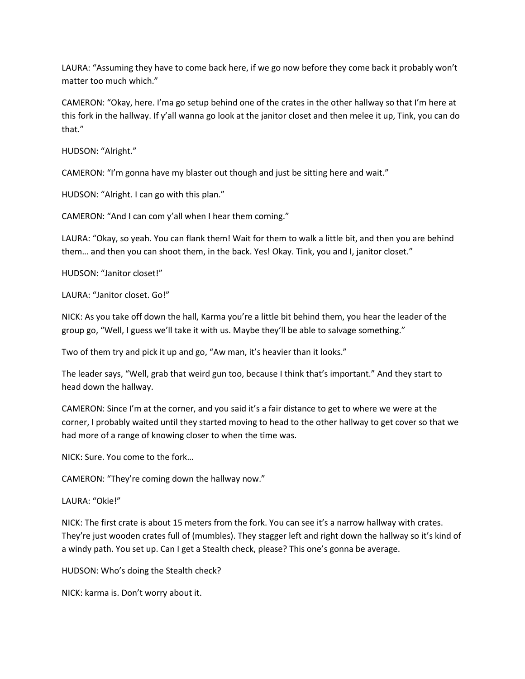LAURA: "Assuming they have to come back here, if we go now before they come back it probably won't matter too much which."

CAMERON: "Okay, here. I'ma go setup behind one of the crates in the other hallway so that I'm here at this fork in the hallway. If y'all wanna go look at the janitor closet and then melee it up, Tink, you can do that."

HUDSON: "Alright."

CAMERON: "I'm gonna have my blaster out though and just be sitting here and wait."

HUDSON: "Alright. I can go with this plan."

CAMERON: "And I can com y'all when I hear them coming."

LAURA: "Okay, so yeah. You can flank them! Wait for them to walk a little bit, and then you are behind them… and then you can shoot them, in the back. Yes! Okay. Tink, you and I, janitor closet."

HUDSON: "Janitor closet!"

LAURA: "Janitor closet. Go!"

NICK: As you take off down the hall, Karma you're a little bit behind them, you hear the leader of the group go, "Well, I guess we'll take it with us. Maybe they'll be able to salvage something."

Two of them try and pick it up and go, "Aw man, it's heavier than it looks."

The leader says, "Well, grab that weird gun too, because I think that's important." And they start to head down the hallway.

CAMERON: Since I'm at the corner, and you said it's a fair distance to get to where we were at the corner, I probably waited until they started moving to head to the other hallway to get cover so that we had more of a range of knowing closer to when the time was.

NICK: Sure. You come to the fork…

CAMERON: "They're coming down the hallway now."

LAURA: "Okie!"

NICK: The first crate is about 15 meters from the fork. You can see it's a narrow hallway with crates. They're just wooden crates full of (mumbles). They stagger left and right down the hallway so it's kind of a windy path. You set up. Can I get a Stealth check, please? This one's gonna be average.

HUDSON: Who's doing the Stealth check?

NICK: karma is. Don't worry about it.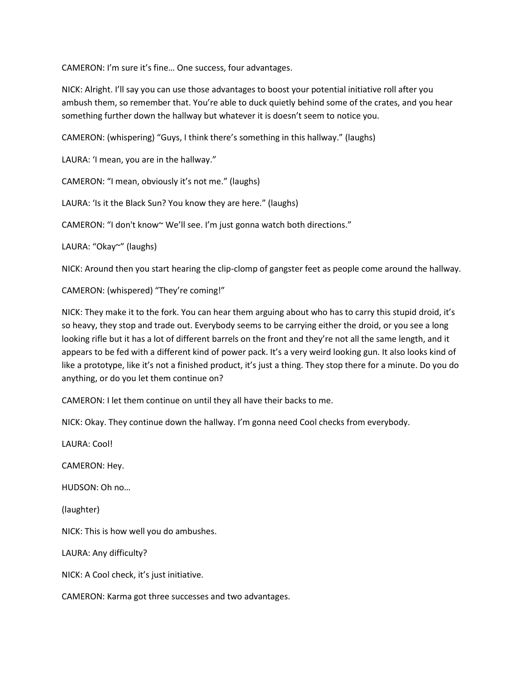CAMERON: I'm sure it's fine… One success, four advantages.

NICK: Alright. I'll say you can use those advantages to boost your potential initiative roll after you ambush them, so remember that. You're able to duck quietly behind some of the crates, and you hear something further down the hallway but whatever it is doesn't seem to notice you.

CAMERON: (whispering) "Guys, I think there's something in this hallway." (laughs)

LAURA: 'I mean, you are in the hallway."

CAMERON: "I mean, obviously it's not me." (laughs)

LAURA: 'Is it the Black Sun? You know they are here." (laughs)

CAMERON: "I don't know~ We'll see. I'm just gonna watch both directions."

LAURA: "Okay~" (laughs)

NICK: Around then you start hearing the clip-clomp of gangster feet as people come around the hallway.

CAMERON: (whispered) "They're coming!"

NICK: They make it to the fork. You can hear them arguing about who has to carry this stupid droid, it's so heavy, they stop and trade out. Everybody seems to be carrying either the droid, or you see a long looking rifle but it has a lot of different barrels on the front and they're not all the same length, and it appears to be fed with a different kind of power pack. It's a very weird looking gun. It also looks kind of like a prototype, like it's not a finished product, it's just a thing. They stop there for a minute. Do you do anything, or do you let them continue on?

CAMERON: I let them continue on until they all have their backs to me.

NICK: Okay. They continue down the hallway. I'm gonna need Cool checks from everybody.

LAURA: Cool!

CAMERON: Hey.

HUDSON: Oh no…

(laughter)

NICK: This is how well you do ambushes.

LAURA: Any difficulty?

NICK: A Cool check, it's just initiative.

CAMERON: Karma got three successes and two advantages.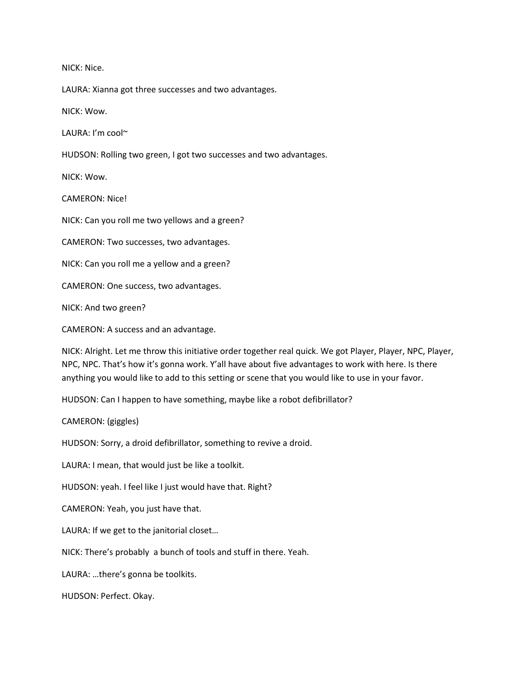NICK: Nice.

LAURA: Xianna got three successes and two advantages.

NICK: Wow.

LAURA: I'm cool~

HUDSON: Rolling two green, I got two successes and two advantages.

NICK: Wow.

CAMERON: Nice!

NICK: Can you roll me two yellows and a green?

CAMERON: Two successes, two advantages.

NICK: Can you roll me a yellow and a green?

CAMERON: One success, two advantages.

NICK: And two green?

CAMERON: A success and an advantage.

NICK: Alright. Let me throw this initiative order together real quick. We got Player, Player, NPC, Player, NPC, NPC. That's how it's gonna work. Y'all have about five advantages to work with here. Is there anything you would like to add to this setting or scene that you would like to use in your favor.

HUDSON: Can I happen to have something, maybe like a robot defibrillator?

CAMERON: (giggles)

HUDSON: Sorry, a droid defibrillator, something to revive a droid.

LAURA: I mean, that would just be like a toolkit.

HUDSON: yeah. I feel like I just would have that. Right?

CAMERON: Yeah, you just have that.

LAURA: If we get to the janitorial closet…

NICK: There's probably a bunch of tools and stuff in there. Yeah.

LAURA: …there's gonna be toolkits.

HUDSON: Perfect. Okay.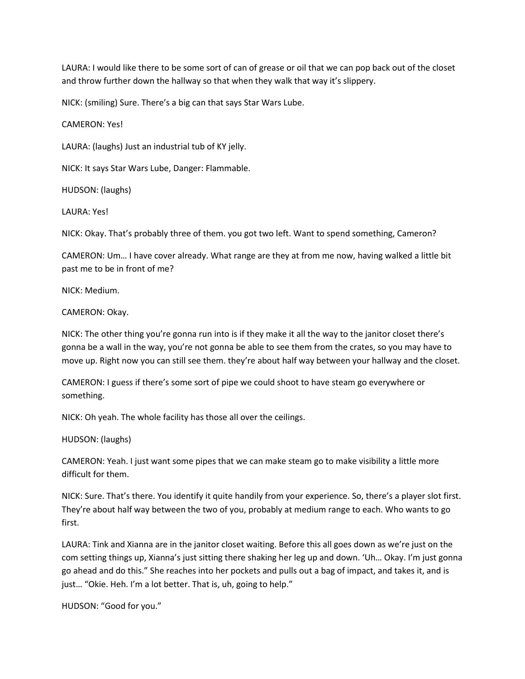LAURA: I would like there to be some sort of can of grease or oil that we can pop back out of the closet and throw further down the hallway so that when they walk that way it's slippery.

NICK: (smiling) Sure. There's a big can that says Star Wars Lube.

CAMERON: Yes!

LAURA: (laughs) Just an industrial tub of KY jelly.

NICK: It says Star Wars Lube, Danger: Flammable.

HUDSON: (laughs)

LAURA: Yes!

NICK: Okay. That's probably three of them. you got two left. Want to spend something, Cameron?

CAMERON: Um… I have cover already. What range are they at from me now, having walked a little bit past me to be in front of me?

NICK: Medium.

CAMERON: Okay.

NICK: The other thing you're gonna run into is if they make it all the way to the janitor closet there's gonna be a wall in the way, you're not gonna be able to see them from the crates, so you may have to move up. Right now you can still see them. they're about half way between your hallway and the closet.

CAMERON: I guess if there's some sort of pipe we could shoot to have steam go everywhere or something.

NICK: Oh yeah. The whole facility has those all over the ceilings.

HUDSON: (laughs)

CAMERON: Yeah. I just want some pipes that we can make steam go to make visibility a little more difficult for them.

NICK: Sure. That's there. You identify it quite handily from your experience. So, there's a player slot first. They're about half way between the two of you, probably at medium range to each. Who wants to go first.

LAURA: Tink and Xianna are in the janitor closet waiting. Before this all goes down as we're just on the com setting things up, Xianna's just sitting there shaking her leg up and down. 'Uh… Okay. I'm just gonna go ahead and do this." She reaches into her pockets and pulls out a bag of impact, and takes it, and is just... "Okie. Heh. I'm a lot better. That is, uh, going to help."

HUDSON: "Good for you."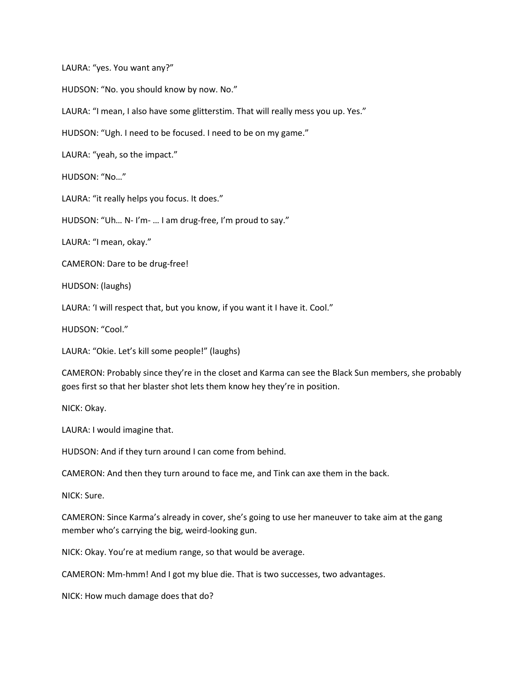LAURA: "yes. You want any?"

HUDSON: "No. you should know by now. No."

LAURA: "I mean, I also have some glitterstim. That will really mess you up. Yes."

HUDSON: "Ugh. I need to be focused. I need to be on my game."

LAURA: "yeah, so the impact."

HUDSON: "No…"

LAURA: "it really helps you focus. It does."

HUDSON: "Uh… N- I'm- … I am drug-free, I'm proud to say."

LAURA: "I mean, okay."

CAMERON: Dare to be drug-free!

HUDSON: (laughs)

LAURA: 'I will respect that, but you know, if you want it I have it. Cool."

HUDSON: "Cool."

LAURA: "Okie. Let's kill some people!" (laughs)

CAMERON: Probably since they're in the closet and Karma can see the Black Sun members, she probably goes first so that her blaster shot lets them know hey they're in position.

NICK: Okay.

LAURA: I would imagine that.

HUDSON: And if they turn around I can come from behind.

CAMERON: And then they turn around to face me, and Tink can axe them in the back.

NICK: Sure.

CAMERON: Since Karma's already in cover, she's going to use her maneuver to take aim at the gang member who's carrying the big, weird-looking gun.

NICK: Okay. You're at medium range, so that would be average.

CAMERON: Mm-hmm! And I got my blue die. That is two successes, two advantages.

NICK: How much damage does that do?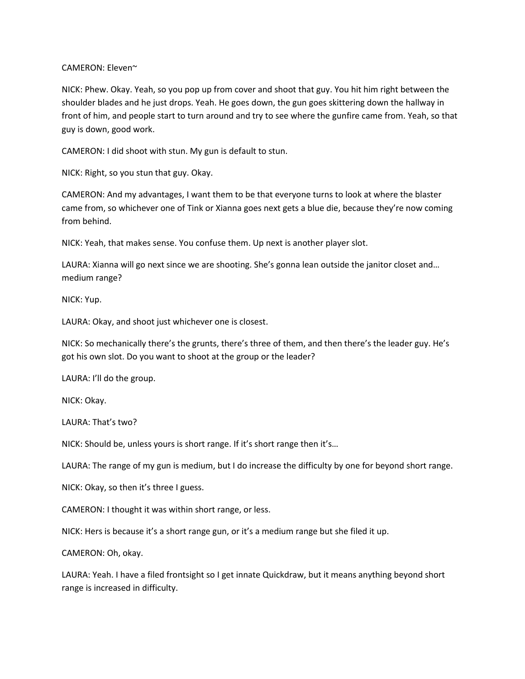CAMERON: Eleven~

NICK: Phew. Okay. Yeah, so you pop up from cover and shoot that guy. You hit him right between the shoulder blades and he just drops. Yeah. He goes down, the gun goes skittering down the hallway in front of him, and people start to turn around and try to see where the gunfire came from. Yeah, so that guy is down, good work.

CAMERON: I did shoot with stun. My gun is default to stun.

NICK: Right, so you stun that guy. Okay.

CAMERON: And my advantages, I want them to be that everyone turns to look at where the blaster came from, so whichever one of Tink or Xianna goes next gets a blue die, because they're now coming from behind.

NICK: Yeah, that makes sense. You confuse them. Up next is another player slot.

LAURA: Xianna will go next since we are shooting. She's gonna lean outside the janitor closet and… medium range?

NICK: Yup.

LAURA: Okay, and shoot just whichever one is closest.

NICK: So mechanically there's the grunts, there's three of them, and then there's the leader guy. He's got his own slot. Do you want to shoot at the group or the leader?

LAURA: I'll do the group.

NICK: Okay.

LAURA: That's two?

NICK: Should be, unless yours is short range. If it's short range then it's…

LAURA: The range of my gun is medium, but I do increase the difficulty by one for beyond short range.

NICK: Okay, so then it's three I guess.

CAMERON: I thought it was within short range, or less.

NICK: Hers is because it's a short range gun, or it's a medium range but she filed it up.

CAMERON: Oh, okay.

LAURA: Yeah. I have a filed frontsight so I get innate Quickdraw, but it means anything beyond short range is increased in difficulty.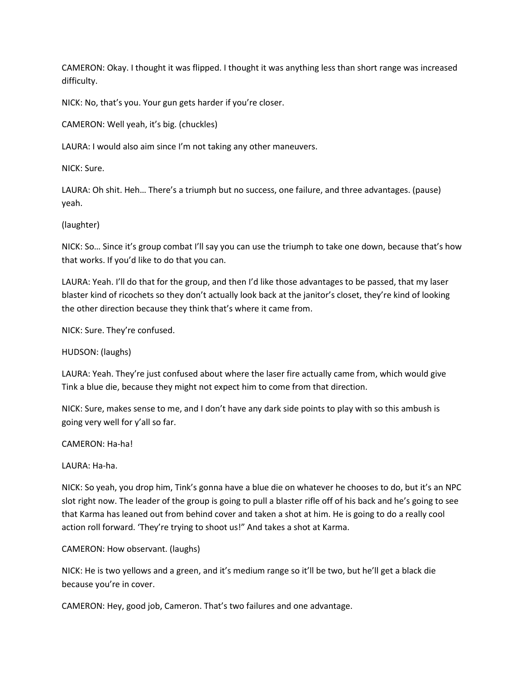CAMERON: Okay. I thought it was flipped. I thought it was anything less than short range was increased difficulty.

NICK: No, that's you. Your gun gets harder if you're closer.

CAMERON: Well yeah, it's big. (chuckles)

LAURA: I would also aim since I'm not taking any other maneuvers.

NICK: Sure.

LAURA: Oh shit. Heh… There's a triumph but no success, one failure, and three advantages. (pause) yeah.

## (laughter)

NICK: So… Since it's group combat I'll say you can use the triumph to take one down, because that's how that works. If you'd like to do that you can.

LAURA: Yeah. I'll do that for the group, and then I'd like those advantages to be passed, that my laser blaster kind of ricochets so they don't actually look back at the janitor's closet, they're kind of looking the other direction because they think that's where it came from.

NICK: Sure. They're confused.

HUDSON: (laughs)

LAURA: Yeah. They're just confused about where the laser fire actually came from, which would give Tink a blue die, because they might not expect him to come from that direction.

NICK: Sure, makes sense to me, and I don't have any dark side points to play with so this ambush is going very well for y'all so far.

CAMERON: Ha-ha!

LAURA: Ha-ha.

NICK: So yeah, you drop him, Tink's gonna have a blue die on whatever he chooses to do, but it's an NPC slot right now. The leader of the group is going to pull a blaster rifle off of his back and he's going to see that Karma has leaned out from behind cover and taken a shot at him. He is going to do a really cool action roll forward. 'They're trying to shoot us!" And takes a shot at Karma.

CAMERON: How observant. (laughs)

NICK: He is two yellows and a green, and it's medium range so it'll be two, but he'll get a black die because you're in cover.

CAMERON: Hey, good job, Cameron. That's two failures and one advantage.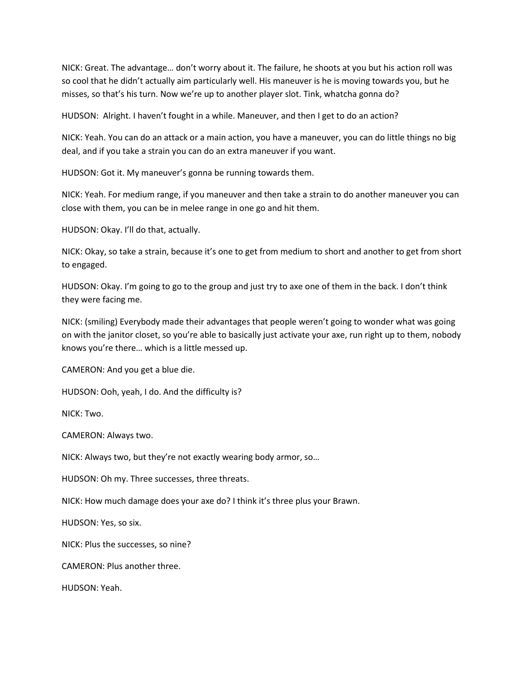NICK: Great. The advantage… don't worry about it. The failure, he shoots at you but his action roll was so cool that he didn't actually aim particularly well. His maneuver is he is moving towards you, but he misses, so that's his turn. Now we're up to another player slot. Tink, whatcha gonna do?

HUDSON: Alright. I haven't fought in a while. Maneuver, and then I get to do an action?

NICK: Yeah. You can do an attack or a main action, you have a maneuver, you can do little things no big deal, and if you take a strain you can do an extra maneuver if you want.

HUDSON: Got it. My maneuver's gonna be running towards them.

NICK: Yeah. For medium range, if you maneuver and then take a strain to do another maneuver you can close with them, you can be in melee range in one go and hit them.

HUDSON: Okay. I'll do that, actually.

NICK: Okay, so take a strain, because it's one to get from medium to short and another to get from short to engaged.

HUDSON: Okay. I'm going to go to the group and just try to axe one of them in the back. I don't think they were facing me.

NICK: (smiling) Everybody made their advantages that people weren't going to wonder what was going on with the janitor closet, so you're able to basically just activate your axe, run right up to them, nobody knows you're there… which is a little messed up.

CAMERON: And you get a blue die.

HUDSON: Ooh, yeah, I do. And the difficulty is?

NICK: Two.

CAMERON: Always two.

NICK: Always two, but they're not exactly wearing body armor, so…

HUDSON: Oh my. Three successes, three threats.

NICK: How much damage does your axe do? I think it's three plus your Brawn.

HUDSON: Yes, so six.

NICK: Plus the successes, so nine?

CAMERON: Plus another three.

HUDSON: Yeah.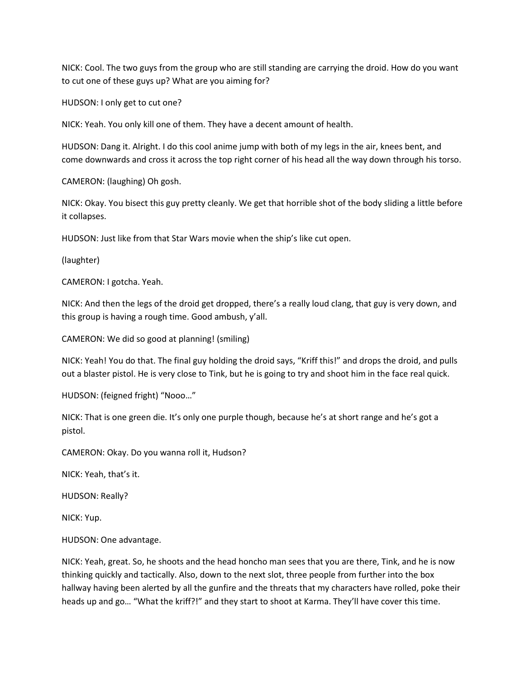NICK: Cool. The two guys from the group who are still standing are carrying the droid. How do you want to cut one of these guys up? What are you aiming for?

HUDSON: I only get to cut one?

NICK: Yeah. You only kill one of them. They have a decent amount of health.

HUDSON: Dang it. Alright. I do this cool anime jump with both of my legs in the air, knees bent, and come downwards and cross it across the top right corner of his head all the way down through his torso.

CAMERON: (laughing) Oh gosh.

NICK: Okay. You bisect this guy pretty cleanly. We get that horrible shot of the body sliding a little before it collapses.

HUDSON: Just like from that Star Wars movie when the ship's like cut open.

(laughter)

CAMERON: I gotcha. Yeah.

NICK: And then the legs of the droid get dropped, there's a really loud clang, that guy is very down, and this group is having a rough time. Good ambush, y'all.

CAMERON: We did so good at planning! (smiling)

NICK: Yeah! You do that. The final guy holding the droid says, "Kriff this!" and drops the droid, and pulls out a blaster pistol. He is very close to Tink, but he is going to try and shoot him in the face real quick.

HUDSON: (feigned fright) "Nooo…"

NICK: That is one green die. It's only one purple though, because he's at short range and he's got a pistol.

CAMERON: Okay. Do you wanna roll it, Hudson?

NICK: Yeah, that's it.

HUDSON: Really?

NICK: Yup.

HUDSON: One advantage.

NICK: Yeah, great. So, he shoots and the head honcho man sees that you are there, Tink, and he is now thinking quickly and tactically. Also, down to the next slot, three people from further into the box hallway having been alerted by all the gunfire and the threats that my characters have rolled, poke their heads up and go... "What the kriff?!" and they start to shoot at Karma. They'll have cover this time.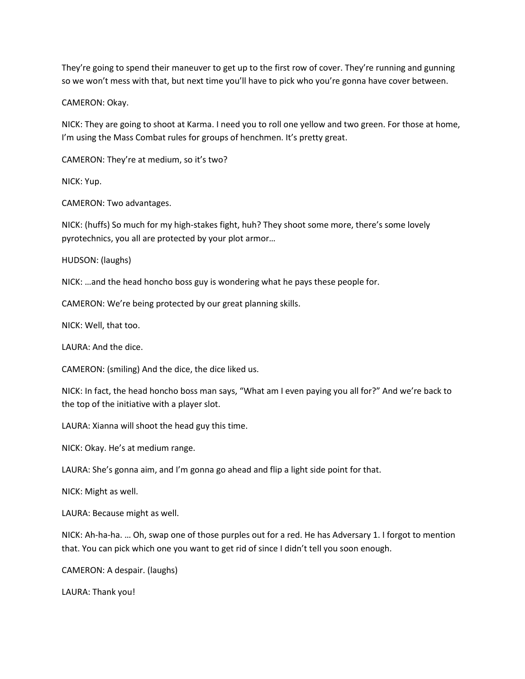They're going to spend their maneuver to get up to the first row of cover. They're running and gunning so we won't mess with that, but next time you'll have to pick who you're gonna have cover between.

CAMERON: Okay.

NICK: They are going to shoot at Karma. I need you to roll one yellow and two green. For those at home, I'm using the Mass Combat rules for groups of henchmen. It's pretty great.

CAMERON: They're at medium, so it's two?

NICK: Yup.

CAMERON: Two advantages.

NICK: (huffs) So much for my high-stakes fight, huh? They shoot some more, there's some lovely pyrotechnics, you all are protected by your plot armor…

HUDSON: (laughs)

NICK: …and the head honcho boss guy is wondering what he pays these people for.

CAMERON: We're being protected by our great planning skills.

NICK: Well, that too.

LAURA: And the dice.

CAMERON: (smiling) And the dice, the dice liked us.

NICK: In fact, the head honcho boss man says, "What am I even paying you all for?" And we're back to the top of the initiative with a player slot.

LAURA: Xianna will shoot the head guy this time.

NICK: Okay. He's at medium range.

LAURA: She's gonna aim, and I'm gonna go ahead and flip a light side point for that.

NICK: Might as well.

LAURA: Because might as well.

NICK: Ah-ha-ha. … Oh, swap one of those purples out for a red. He has Adversary 1. I forgot to mention that. You can pick which one you want to get rid of since I didn't tell you soon enough.

CAMERON: A despair. (laughs)

LAURA: Thank you!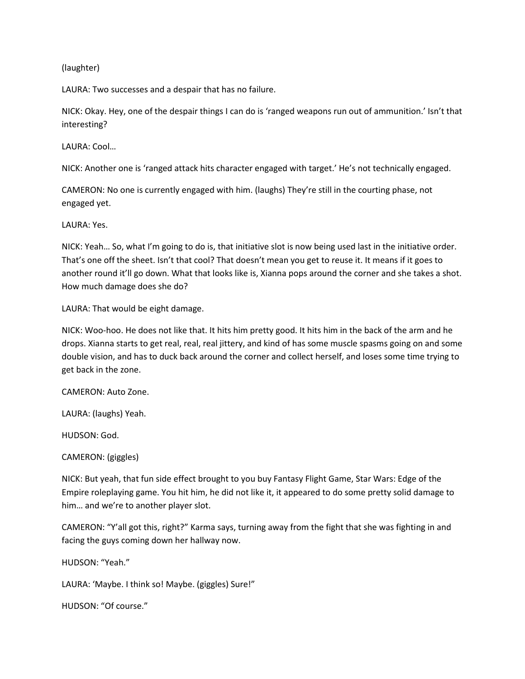### (laughter)

LAURA: Two successes and a despair that has no failure.

NICK: Okay. Hey, one of the despair things I can do is 'ranged weapons run out of ammunition.' Isn't that interesting?

LAURA: Cool…

NICK: Another one is 'ranged attack hits character engaged with target.' He's not technically engaged.

CAMERON: No one is currently engaged with him. (laughs) They're still in the courting phase, not engaged yet.

LAURA: Yes.

NICK: Yeah… So, what I'm going to do is, that initiative slot is now being used last in the initiative order. That's one off the sheet. Isn't that cool? That doesn't mean you get to reuse it. It means if it goes to another round it'll go down. What that looks like is, Xianna pops around the corner and she takes a shot. How much damage does she do?

LAURA: That would be eight damage.

NICK: Woo-hoo. He does not like that. It hits him pretty good. It hits him in the back of the arm and he drops. Xianna starts to get real, real, real jittery, and kind of has some muscle spasms going on and some double vision, and has to duck back around the corner and collect herself, and loses some time trying to get back in the zone.

CAMERON: Auto Zone.

LAURA: (laughs) Yeah.

HUDSON: God.

CAMERON: (giggles)

NICK: But yeah, that fun side effect brought to you buy Fantasy Flight Game, Star Wars: Edge of the Empire roleplaying game. You hit him, he did not like it, it appeared to do some pretty solid damage to him… and we're to another player slot.

CAMERON: "Y'all got this, right?" Karma says, turning away from the fight that she was fighting in and facing the guys coming down her hallway now.

HUDSON: "Yeah."

LAURA: 'Maybe. I think so! Maybe. (giggles) Sure!"

HUDSON: "Of course."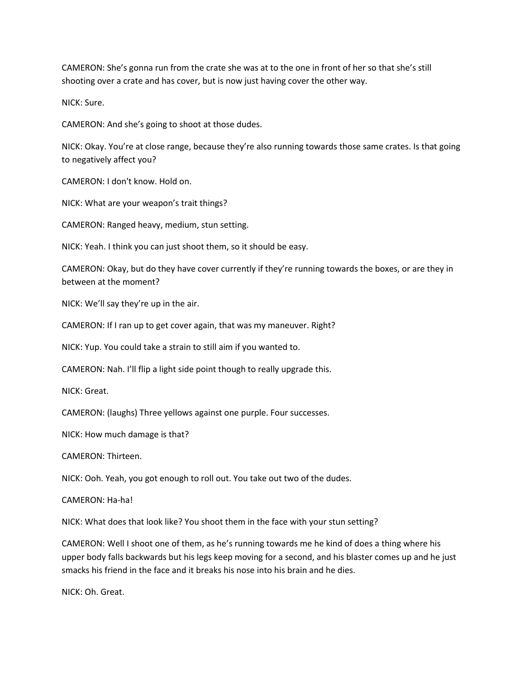CAMERON: She's gonna run from the crate she was at to the one in front of her so that she's still shooting over a crate and has cover, but is now just having cover the other way.

NICK: Sure.

CAMERON: And she's going to shoot at those dudes.

NICK: Okay. You're at close range, because they're also running towards those same crates. Is that going to negatively affect you?

CAMERON: I don't know. Hold on.

NICK: What are your weapon's trait things?

CAMERON: Ranged heavy, medium, stun setting.

NICK: Yeah. I think you can just shoot them, so it should be easy.

CAMERON: Okay, but do they have cover currently if they're running towards the boxes, or are they in between at the moment?

NICK: We'll say they're up in the air.

CAMERON: If I ran up to get cover again, that was my maneuver. Right?

NICK: Yup. You could take a strain to still aim if you wanted to.

CAMERON: Nah. I'll flip a light side point though to really upgrade this.

NICK: Great.

CAMERON: (laughs) Three yellows against one purple. Four successes.

NICK: How much damage is that?

CAMERON: Thirteen.

NICK: Ooh. Yeah, you got enough to roll out. You take out two of the dudes.

CAMERON: Ha-ha!

NICK: What does that look like? You shoot them in the face with your stun setting?

CAMERON: Well I shoot one of them, as he's running towards me he kind of does a thing where his upper body falls backwards but his legs keep moving for a second, and his blaster comes up and he just smacks his friend in the face and it breaks his nose into his brain and he dies.

NICK: Oh. Great.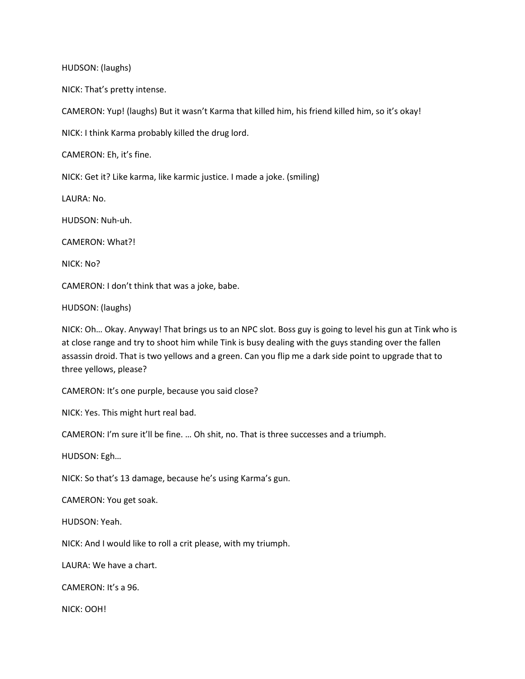HUDSON: (laughs)

NICK: That's pretty intense.

CAMERON: Yup! (laughs) But it wasn't Karma that killed him, his friend killed him, so it's okay!

NICK: I think Karma probably killed the drug lord.

CAMERON: Eh, it's fine.

NICK: Get it? Like karma, like karmic justice. I made a joke. (smiling)

LAURA: No.

HUDSON: Nuh-uh.

CAMERON: What?!

NICK: No?

CAMERON: I don't think that was a joke, babe.

HUDSON: (laughs)

NICK: Oh… Okay. Anyway! That brings us to an NPC slot. Boss guy is going to level his gun at Tink who is at close range and try to shoot him while Tink is busy dealing with the guys standing over the fallen assassin droid. That is two yellows and a green. Can you flip me a dark side point to upgrade that to three yellows, please?

CAMERON: It's one purple, because you said close?

NICK: Yes. This might hurt real bad.

CAMERON: I'm sure it'll be fine. … Oh shit, no. That is three successes and a triumph.

HUDSON: Egh…

NICK: So that's 13 damage, because he's using Karma's gun.

CAMERON: You get soak.

HUDSON: Yeah.

NICK: And I would like to roll a crit please, with my triumph.

LAURA: We have a chart.

CAMERON: It's a 96.

NICK: OOH!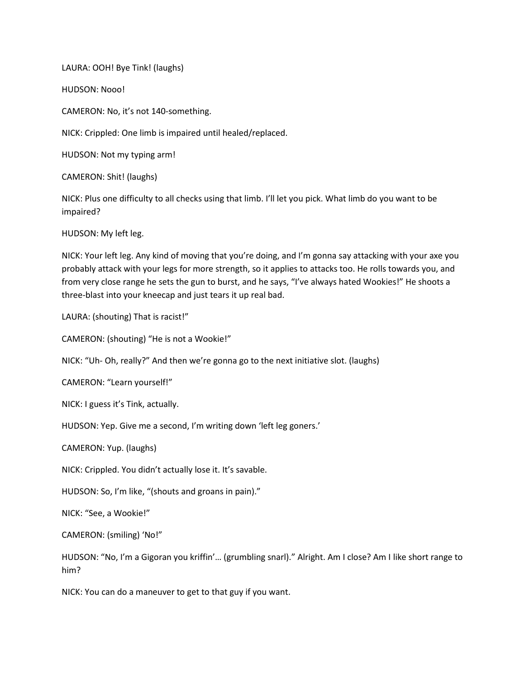LAURA: OOH! Bye Tink! (laughs)

HUDSON: Nooo!

CAMERON: No, it's not 140-something.

NICK: Crippled: One limb is impaired until healed/replaced.

HUDSON: Not my typing arm!

CAMERON: Shit! (laughs)

NICK: Plus one difficulty to all checks using that limb. I'll let you pick. What limb do you want to be impaired?

HUDSON: My left leg.

NICK: Your left leg. Any kind of moving that you're doing, and I'm gonna say attacking with your axe you probably attack with your legs for more strength, so it applies to attacks too. He rolls towards you, and from very close range he sets the gun to burst, and he says, "I've always hated Wookies!" He shoots a three-blast into your kneecap and just tears it up real bad.

LAURA: (shouting) That is racist!"

CAMERON: (shouting) "He is not a Wookie!"

NICK: "Uh- Oh, really?" And then we're gonna go to the next initiative slot. (laughs)

CAMERON: "Learn yourself!"

NICK: I guess it's Tink, actually.

HUDSON: Yep. Give me a second, I'm writing down 'left leg goners.'

CAMERON: Yup. (laughs)

NICK: Crippled. You didn't actually lose it. It's savable.

HUDSON: So, I'm like, "(shouts and groans in pain)."

NICK: "See, a Wookie!"

CAMERON: (smiling) 'No!"

HUDSON: "No, I'm a Gigoran you kriffin'… (grumbling snarl)." Alright. Am I close? Am I like short range to him?

NICK: You can do a maneuver to get to that guy if you want.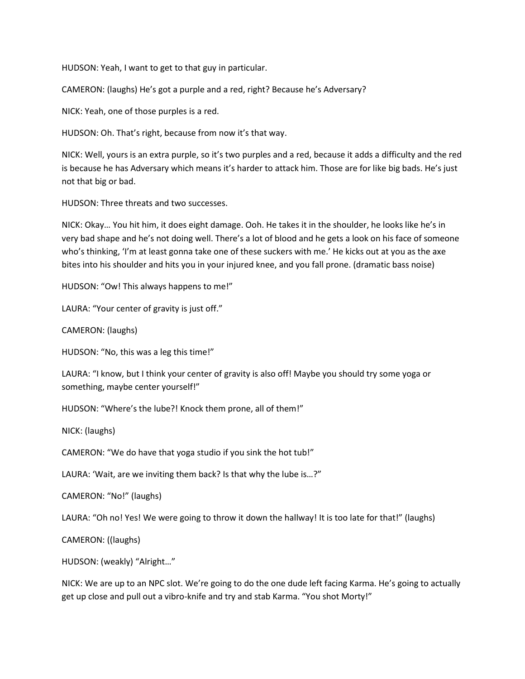HUDSON: Yeah, I want to get to that guy in particular.

CAMERON: (laughs) He's got a purple and a red, right? Because he's Adversary?

NICK: Yeah, one of those purples is a red.

HUDSON: Oh. That's right, because from now it's that way.

NICK: Well, yours is an extra purple, so it's two purples and a red, because it adds a difficulty and the red is because he has Adversary which means it's harder to attack him. Those are for like big bads. He's just not that big or bad.

HUDSON: Three threats and two successes.

NICK: Okay… You hit him, it does eight damage. Ooh. He takes it in the shoulder, he looks like he's in very bad shape and he's not doing well. There's a lot of blood and he gets a look on his face of someone who's thinking, 'I'm at least gonna take one of these suckers with me.' He kicks out at you as the axe bites into his shoulder and hits you in your injured knee, and you fall prone. (dramatic bass noise)

HUDSON: "Ow! This always happens to me!"

LAURA: "Your center of gravity is just off."

CAMERON: (laughs)

HUDSON: "No, this was a leg this time!"

LAURA: "I know, but I think your center of gravity is also off! Maybe you should try some yoga or something, maybe center yourself!"

HUDSON: "Where's the lube?! Knock them prone, all of them!"

NICK: (laughs)

CAMERON: "We do have that yoga studio if you sink the hot tub!"

LAURA: 'Wait, are we inviting them back? Is that why the lube is…?"

CAMERON: "No!" (laughs)

LAURA: "Oh no! Yes! We were going to throw it down the hallway! It is too late for that!" (laughs)

CAMERON: ((laughs)

HUDSON: (weakly) "Alright…"

NICK: We are up to an NPC slot. We're going to do the one dude left facing Karma. He's going to actually get up close and pull out a vibro-knife and try and stab Karma. "You shot Morty!"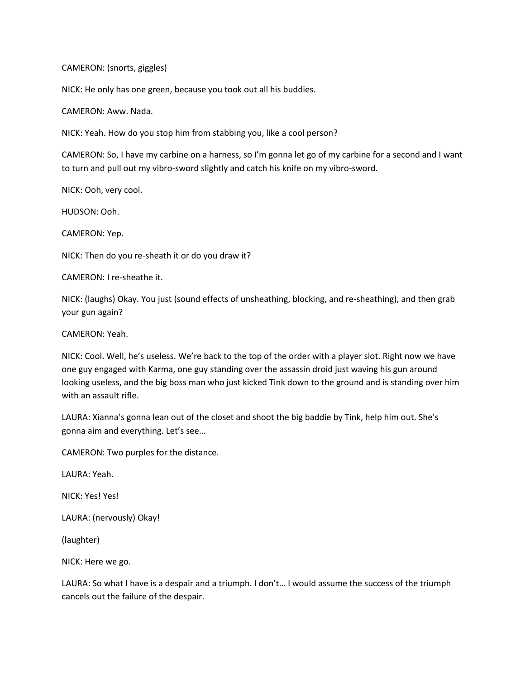### CAMERON: (snorts, giggles)

NICK: He only has one green, because you took out all his buddies.

CAMERON: Aww. Nada.

NICK: Yeah. How do you stop him from stabbing you, like a cool person?

CAMERON: So, I have my carbine on a harness, so I'm gonna let go of my carbine for a second and I want to turn and pull out my vibro-sword slightly and catch his knife on my vibro-sword.

NICK: Ooh, very cool.

HUDSON: Ooh.

CAMERON: Yep.

NICK: Then do you re-sheath it or do you draw it?

CAMERON: I re-sheathe it.

NICK: (laughs) Okay. You just (sound effects of unsheathing, blocking, and re-sheathing), and then grab your gun again?

CAMERON: Yeah.

NICK: Cool. Well, he's useless. We're back to the top of the order with a player slot. Right now we have one guy engaged with Karma, one guy standing over the assassin droid just waving his gun around looking useless, and the big boss man who just kicked Tink down to the ground and is standing over him with an assault rifle.

LAURA: Xianna's gonna lean out of the closet and shoot the big baddie by Tink, help him out. She's gonna aim and everything. Let's see…

CAMERON: Two purples for the distance.

LAURA: Yeah.

NICK: Yes! Yes!

LAURA: (nervously) Okay!

(laughter)

NICK: Here we go.

LAURA: So what I have is a despair and a triumph. I don't… I would assume the success of the triumph cancels out the failure of the despair.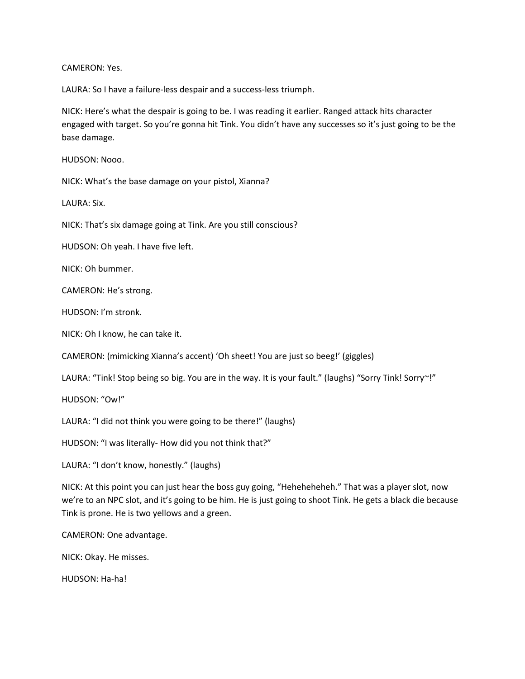CAMERON: Yes.

LAURA: So I have a failure-less despair and a success-less triumph.

NICK: Here's what the despair is going to be. I was reading it earlier. Ranged attack hits character engaged with target. So you're gonna hit Tink. You didn't have any successes so it's just going to be the base damage.

HUDSON: Nooo.

NICK: What's the base damage on your pistol, Xianna?

LAURA: Six.

NICK: That's six damage going at Tink. Are you still conscious?

HUDSON: Oh yeah. I have five left.

NICK: Oh bummer.

CAMERON: He's strong.

HUDSON: I'm stronk.

NICK: Oh I know, he can take it.

CAMERON: (mimicking Xianna's accent) 'Oh sheet! You are just so beeg!' (giggles)

LAURA: "Tink! Stop being so big. You are in the way. It is your fault." (laughs) "Sorry Tink! Sorry~!"

HUDSON: "Ow!"

LAURA: "I did not think you were going to be there!" (laughs)

HUDSON: "I was literally- How did you not think that?"

LAURA: "I don't know, honestly." (laughs)

NICK: At this point you can just hear the boss guy going, "Heheheheheh." That was a player slot, now we're to an NPC slot, and it's going to be him. He is just going to shoot Tink. He gets a black die because Tink is prone. He is two yellows and a green.

CAMERON: One advantage.

NICK: Okay. He misses.

HUDSON: Ha-ha!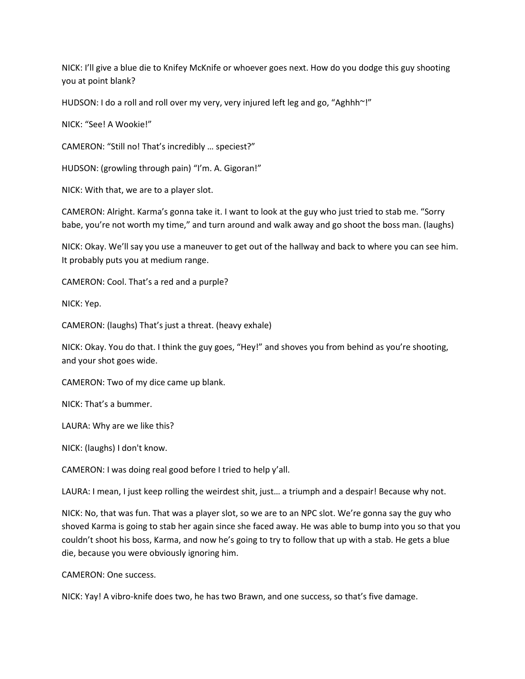NICK: I'll give a blue die to Knifey McKnife or whoever goes next. How do you dodge this guy shooting you at point blank?

HUDSON: I do a roll and roll over my very, very injured left leg and go, "Aghhh~!"

NICK: "See! A Wookie!"

CAMERON: "Still no! That's incredibly … speciest?"

HUDSON: (growling through pain) "I'm. A. Gigoran!"

NICK: With that, we are to a player slot.

CAMERON: Alright. Karma's gonna take it. I want to look at the guy who just tried to stab me. "Sorry babe, you're not worth my time," and turn around and walk away and go shoot the boss man. (laughs)

NICK: Okay. We'll say you use a maneuver to get out of the hallway and back to where you can see him. It probably puts you at medium range.

CAMERON: Cool. That's a red and a purple?

NICK: Yep.

CAMERON: (laughs) That's just a threat. (heavy exhale)

NICK: Okay. You do that. I think the guy goes, "Hey!" and shoves you from behind as you're shooting, and your shot goes wide.

CAMERON: Two of my dice came up blank.

NICK: That's a bummer.

LAURA: Why are we like this?

NICK: (laughs) I don't know.

CAMERON: I was doing real good before I tried to help y'all.

LAURA: I mean, I just keep rolling the weirdest shit, just… a triumph and a despair! Because why not.

NICK: No, that was fun. That was a player slot, so we are to an NPC slot. We're gonna say the guy who shoved Karma is going to stab her again since she faced away. He was able to bump into you so that you couldn't shoot his boss, Karma, and now he's going to try to follow that up with a stab. He gets a blue die, because you were obviously ignoring him.

CAMERON: One success.

NICK: Yay! A vibro-knife does two, he has two Brawn, and one success, so that's five damage.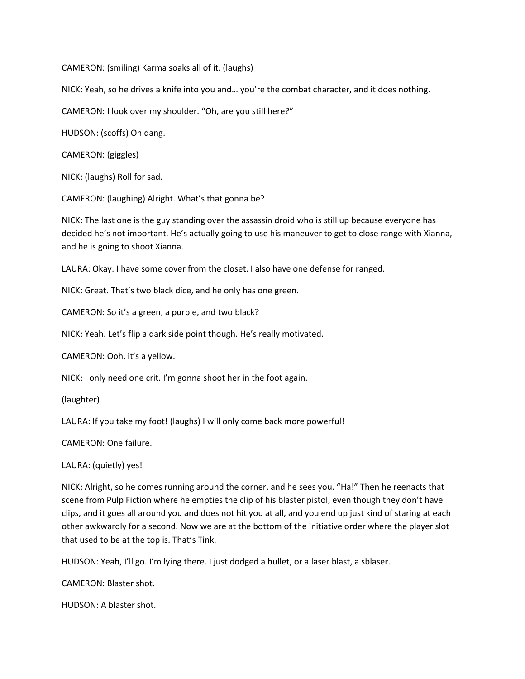CAMERON: (smiling) Karma soaks all of it. (laughs)

NICK: Yeah, so he drives a knife into you and… you're the combat character, and it does nothing.

CAMERON: I look over my shoulder. "Oh, are you still here?"

HUDSON: (scoffs) Oh dang.

CAMERON: (giggles)

NICK: (laughs) Roll for sad.

CAMERON: (laughing) Alright. What's that gonna be?

NICK: The last one is the guy standing over the assassin droid who is still up because everyone has decided he's not important. He's actually going to use his maneuver to get to close range with Xianna, and he is going to shoot Xianna.

LAURA: Okay. I have some cover from the closet. I also have one defense for ranged.

NICK: Great. That's two black dice, and he only has one green.

CAMERON: So it's a green, a purple, and two black?

NICK: Yeah. Let's flip a dark side point though. He's really motivated.

CAMERON: Ooh, it's a yellow.

NICK: I only need one crit. I'm gonna shoot her in the foot again.

(laughter)

LAURA: If you take my foot! (laughs) I will only come back more powerful!

CAMERON: One failure.

LAURA: (quietly) yes!

NICK: Alright, so he comes running around the corner, and he sees you. "Ha!" Then he reenacts that scene from Pulp Fiction where he empties the clip of his blaster pistol, even though they don't have clips, and it goes all around you and does not hit you at all, and you end up just kind of staring at each other awkwardly for a second. Now we are at the bottom of the initiative order where the player slot that used to be at the top is. That's Tink.

HUDSON: Yeah, I'll go. I'm lying there. I just dodged a bullet, or a laser blast, a sblaser.

CAMERON: Blaster shot.

HUDSON: A blaster shot.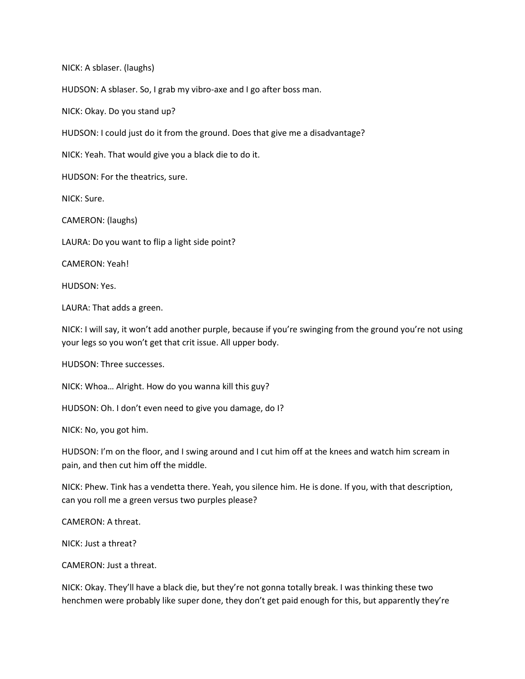NICK: A sblaser. (laughs)

HUDSON: A sblaser. So, I grab my vibro-axe and I go after boss man.

NICK: Okay. Do you stand up?

HUDSON: I could just do it from the ground. Does that give me a disadvantage?

NICK: Yeah. That would give you a black die to do it.

HUDSON: For the theatrics, sure.

NICK: Sure.

CAMERON: (laughs)

LAURA: Do you want to flip a light side point?

CAMERON: Yeah!

HUDSON: Yes.

LAURA: That adds a green.

NICK: I will say, it won't add another purple, because if you're swinging from the ground you're not using your legs so you won't get that crit issue. All upper body.

HUDSON: Three successes.

NICK: Whoa… Alright. How do you wanna kill this guy?

HUDSON: Oh. I don't even need to give you damage, do I?

NICK: No, you got him.

HUDSON: I'm on the floor, and I swing around and I cut him off at the knees and watch him scream in pain, and then cut him off the middle.

NICK: Phew. Tink has a vendetta there. Yeah, you silence him. He is done. If you, with that description, can you roll me a green versus two purples please?

CAMERON: A threat.

NICK: Just a threat?

CAMERON: Just a threat.

NICK: Okay. They'll have a black die, but they're not gonna totally break. I was thinking these two henchmen were probably like super done, they don't get paid enough for this, but apparently they're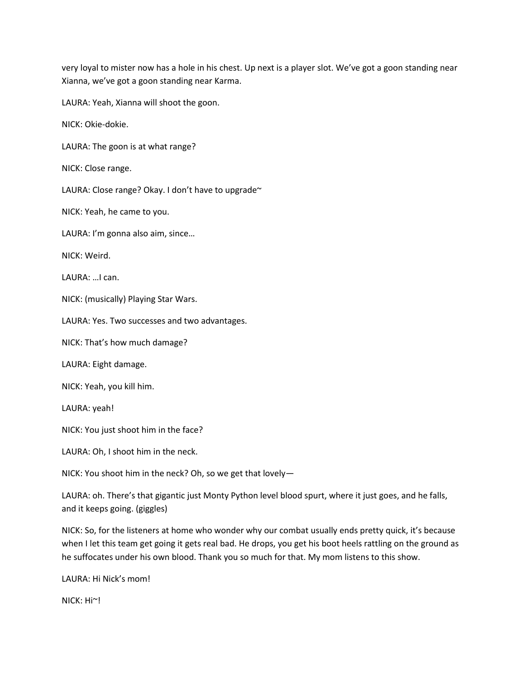very loyal to mister now has a hole in his chest. Up next is a player slot. We've got a goon standing near Xianna, we've got a goon standing near Karma.

LAURA: Yeah, Xianna will shoot the goon.

NICK: Okie-dokie.

LAURA: The goon is at what range?

NICK: Close range.

LAURA: Close range? Okay. I don't have to upgrade~

NICK: Yeah, he came to you.

LAURA: I'm gonna also aim, since…

NICK: Weird.

LAURA: …I can.

NICK: (musically) Playing Star Wars.

LAURA: Yes. Two successes and two advantages.

NICK: That's how much damage?

LAURA: Eight damage.

NICK: Yeah, you kill him.

LAURA: yeah!

NICK: You just shoot him in the face?

LAURA: Oh, I shoot him in the neck.

NICK: You shoot him in the neck? Oh, so we get that lovely—

LAURA: oh. There's that gigantic just Monty Python level blood spurt, where it just goes, and he falls, and it keeps going. (giggles)

NICK: So, for the listeners at home who wonder why our combat usually ends pretty quick, it's because when I let this team get going it gets real bad. He drops, you get his boot heels rattling on the ground as he suffocates under his own blood. Thank you so much for that. My mom listens to this show.

LAURA: Hi Nick's mom!

NICK: Hi~!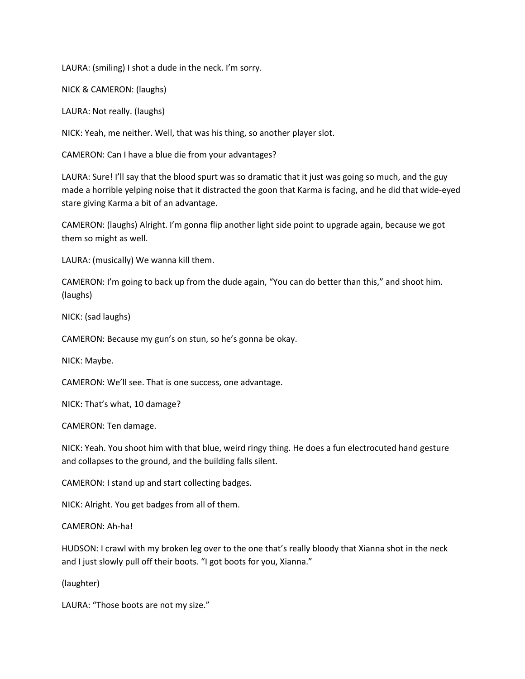LAURA: (smiling) I shot a dude in the neck. I'm sorry.

NICK & CAMERON: (laughs)

LAURA: Not really. (laughs)

NICK: Yeah, me neither. Well, that was his thing, so another player slot.

CAMERON: Can I have a blue die from your advantages?

LAURA: Sure! I'll say that the blood spurt was so dramatic that it just was going so much, and the guy made a horrible yelping noise that it distracted the goon that Karma is facing, and he did that wide-eyed stare giving Karma a bit of an advantage.

CAMERON: (laughs) Alright. I'm gonna flip another light side point to upgrade again, because we got them so might as well.

LAURA: (musically) We wanna kill them.

CAMERON: I'm going to back up from the dude again, "You can do better than this," and shoot him. (laughs)

NICK: (sad laughs)

CAMERON: Because my gun's on stun, so he's gonna be okay.

NICK: Maybe.

CAMERON: We'll see. That is one success, one advantage.

NICK: That's what, 10 damage?

CAMERON: Ten damage.

NICK: Yeah. You shoot him with that blue, weird ringy thing. He does a fun electrocuted hand gesture and collapses to the ground, and the building falls silent.

CAMERON: I stand up and start collecting badges.

NICK: Alright. You get badges from all of them.

CAMERON: Ah-ha!

HUDSON: I crawl with my broken leg over to the one that's really bloody that Xianna shot in the neck and I just slowly pull off their boots. "I got boots for you, Xianna."

(laughter)

LAURA: "Those boots are not my size."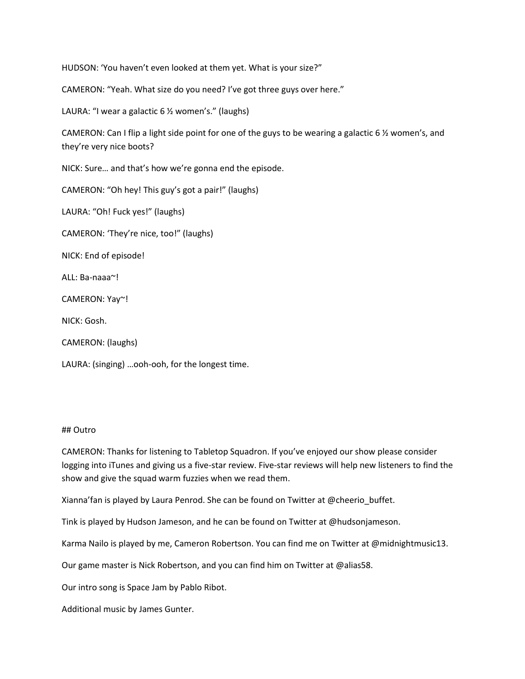HUDSON: 'You haven't even looked at them yet. What is your size?"

CAMERON: "Yeah. What size do you need? I've got three guys over here."

LAURA: "I wear a galactic 6 ½ women's." (laughs)

CAMERON: Can I flip a light side point for one of the guys to be wearing a galactic 6 ½ women's, and they're very nice boots?

NICK: Sure… and that's how we're gonna end the episode.

CAMERON: "Oh hey! This guy's got a pair!" (laughs)

LAURA: "Oh! Fuck yes!" (laughs)

CAMERON: 'They're nice, too!" (laughs)

NICK: End of episode!

ALL: Ba-naaa~!

CAMERON: Yay~!

NICK: Gosh.

CAMERON: (laughs)

LAURA: (singing) …ooh-ooh, for the longest time.

#### ## Outro

CAMERON: Thanks for listening to Tabletop Squadron. If you've enjoyed our show please consider logging into iTunes and giving us a five-star review. Five-star reviews will help new listeners to find the show and give the squad warm fuzzies when we read them.

Xianna'fan is played by Laura Penrod. She can be found on Twitter at @cheerio\_buffet.

Tink is played by Hudson Jameson, and he can be found on Twitter at @hudsonjameson.

Karma Nailo is played by me, Cameron Robertson. You can find me on Twitter at @midnightmusic13.

Our game master is Nick Robertson, and you can find him on Twitter at @alias58.

Our intro song is Space Jam by Pablo Ribot.

Additional music by James Gunter.